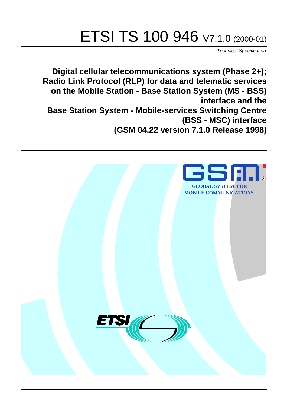# ETSI TS 100 946 V7.1.0 (2000-01)

Technical Specification

**Digital cellular telecommunications system (Phase 2+); Radio Link Protocol (RLP) for data and telematic services on the Mobile Station - Base Station System (MS - BSS) interface and the Base Station System - Mobile-services Switching Centre (BSS - MSC) interface (GSM 04.22 version 7.1.0 Release 1998)**

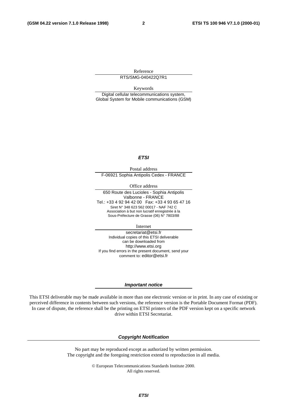Reference RTS/SMG-040422Q7R1

Keywords

Digital cellular telecommunications system, Global System for Mobile communications (GSM)

#### **ETSI**

Postal address F-06921 Sophia Antipolis Cedex - FRANCE

Office address

650 Route des Lucioles - Sophia Antipolis Valbonne - FRANCE Tel.: +33 4 92 94 42 00 Fax: +33 4 93 65 47 16 Siret N° 348 623 562 00017 - NAF 742 C Association à but non lucratif enregistrée à la Sous-Préfecture de Grasse (06) N° 7803/88

Internet

secretariat@etsi.fr Individual copies of this ETSI deliverable can be downloaded from http://www.etsi.org If you find errors in the present document, send your comment to: editor@etsi.fr

#### **Important notice**

This ETSI deliverable may be made available in more than one electronic version or in print. In any case of existing or perceived difference in contents between such versions, the reference version is the Portable Document Format (PDF). In case of dispute, the reference shall be the printing on ETSI printers of the PDF version kept on a specific network drive within ETSI Secretariat.

#### **Copyright Notification**

No part may be reproduced except as authorized by written permission. The copyright and the foregoing restriction extend to reproduction in all media.

> © European Telecommunications Standards Institute 2000. All rights reserved.

#### **ETSI**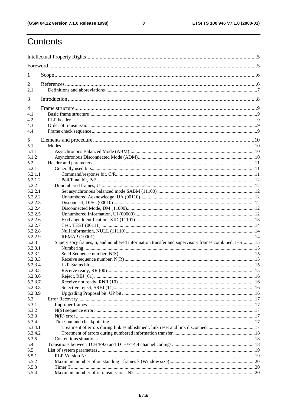### ETSI TS 100 946 V7.1.0 (2000-01)

## Contents

| 1                  |                                                                                                  |  |
|--------------------|--------------------------------------------------------------------------------------------------|--|
| 2                  |                                                                                                  |  |
| 2.1                |                                                                                                  |  |
| 3                  |                                                                                                  |  |
| 4                  |                                                                                                  |  |
| 4.1                |                                                                                                  |  |
| 4.2                |                                                                                                  |  |
| 4.3                |                                                                                                  |  |
| 4.4                |                                                                                                  |  |
| 5                  |                                                                                                  |  |
| 5.1                |                                                                                                  |  |
| 5.1.1              |                                                                                                  |  |
| 5.1.2              |                                                                                                  |  |
| 5.2                |                                                                                                  |  |
| 5.2.1              |                                                                                                  |  |
| 5.2.1.1            |                                                                                                  |  |
| 5.2.1.2            |                                                                                                  |  |
| 5.2.2              |                                                                                                  |  |
| 5.2.2.1            |                                                                                                  |  |
| 5.2.2.2            |                                                                                                  |  |
| 5.2.2.3            |                                                                                                  |  |
| 5.2.2.4            |                                                                                                  |  |
| 5.2.2.5            |                                                                                                  |  |
| 5.2.2.6            |                                                                                                  |  |
| 5.2.2.7            |                                                                                                  |  |
| 5.2.2.8            |                                                                                                  |  |
| 5.2.2.9            |                                                                                                  |  |
| 5.2.3              | Supervisory frames, S, and numbered information transfer and supervisory frames combined, I+S 15 |  |
| 5.2.3.1            |                                                                                                  |  |
| 5.2.3.2            |                                                                                                  |  |
| 5.2.3.3            |                                                                                                  |  |
| 5.2.3.4            |                                                                                                  |  |
| 5.2.3.5            |                                                                                                  |  |
| 5.2.3.6            |                                                                                                  |  |
| 5.2.3.7<br>5.2.3.8 |                                                                                                  |  |
| 5.2.3.9            |                                                                                                  |  |
| 5.3                |                                                                                                  |  |
| 5.3.1              |                                                                                                  |  |
| 5.3.2              |                                                                                                  |  |
| 5.3.3              |                                                                                                  |  |
| 5.3.4              |                                                                                                  |  |
| 5.3.4.1            | Treatment of errors during link establishment, link reset and link disconnect 17                 |  |
| 5.3.4.2            |                                                                                                  |  |
| 5.3.5              |                                                                                                  |  |
| 5.4                |                                                                                                  |  |
| 5.5                |                                                                                                  |  |
| 5.5.1              |                                                                                                  |  |
| 5.5.2              |                                                                                                  |  |
| 5.5.3              |                                                                                                  |  |
| 5.5.4              |                                                                                                  |  |
|                    |                                                                                                  |  |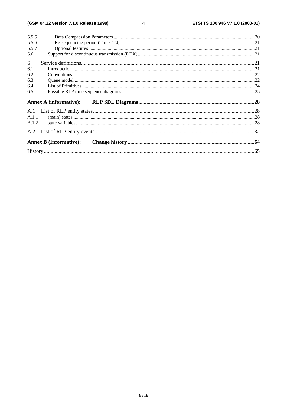#### $\overline{\mathbf{4}}$

| 5.5.5 |                               |  |
|-------|-------------------------------|--|
| 5.5.6 |                               |  |
| 5.5.7 |                               |  |
| 5.6   |                               |  |
| 6     |                               |  |
| 6.1   | $In traditional. 21$          |  |
| 6.2   |                               |  |
| 6.3   |                               |  |
| 6.4   |                               |  |
| 6.5   |                               |  |
|       |                               |  |
|       | <b>Annex A (informative):</b> |  |
|       |                               |  |
| A.1.1 |                               |  |
| A.1.2 |                               |  |
| A.2   |                               |  |
|       | <b>Annex B (Informative):</b> |  |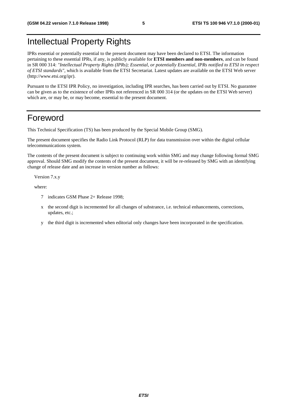## Intellectual Property Rights

IPRs essential or potentially essential to the present document may have been declared to ETSI. The information pertaining to these essential IPRs, if any, is publicly available for **ETSI members and non-members**, and can be found in SR 000 314: *"Intellectual Property Rights (IPRs); Essential, or potentially Essential, IPRs notified to ETSI in respect of ETSI standards"*, which is available from the ETSI Secretariat. Latest updates are available on the ETSI Web server (http://www.etsi.org/ipr).

Pursuant to the ETSI IPR Policy, no investigation, including IPR searches, has been carried out by ETSI. No guarantee can be given as to the existence of other IPRs not referenced in SR 000 314 (or the updates on the ETSI Web server) which are, or may be, or may become, essential to the present document.

## Foreword

This Technical Specification (TS) has been produced by the Special Mobile Group (SMG).

The present document specifies the Radio Link Protocol (RLP) for data transmission over within the digital cellular telecommunications system.

The contents of the present document is subject to continuing work within SMG and may change following formal SMG approval. Should SMG modify the contents of the present document, it will be re-released by SMG with an identifying change of release date and an increase in version number as follows:

Version 7.x.y

where:

- 7 indicates GSM Phase 2+ Release 1998;
- x the second digit is incremented for all changes of substrance, i.e. technical enhancements, corrections, updates, etc.;
- y the third digit is incremented when editorial only changes have been incorporated in the specification.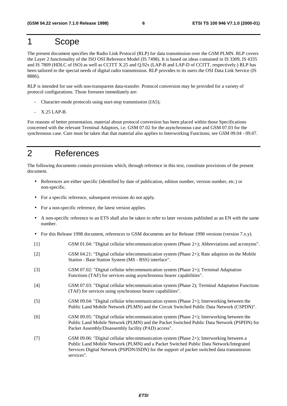## 1 Scope

The present document specifies the Radio Link Protocol (RLP) for data transmission over the GSM PLMN. RLP covers the Layer 2 functionality of the ISO OSI Reference Model (IS 7498). It is based on ideas contained in IS 3309, IS 4335 and IS 7809 (HDLC of ISO) as well as CCITT X.25 and Q.92x (LAP-B and LAP-D of CCITT, respectively.) RLP has been tailored to the special needs of digital radio transmission. RLP provides to its users the OSI Data Link Service (IS 8886).

RLP is intended for use with non-transparent data-transfer. Protocol conversion may be provided for a variety of protocol configurations. Those foreseen immediately are:

- Character-mode protocols using start-stop transmission (IA5);
- X.25 LAP-B.

For reasons of better presentation, material about protocol conversion has been placed within those Specifications concerned with the relevant Terminal Adaptors, i.e. GSM 07.02 for the asynchronous case and GSM 07.03 for the synchronous case. Care must be taken that that material also applies to Interworking Functions; see GSM 09.04 - 09.07.

## 2 References

The following documents contain provisions which, through reference in this text, constitute provisions of the present document.

- References are either specific (identified by date of publication, edition number, version number, etc.) or non-specific.
- For a specific reference, subsequent revisions do not apply.
- For a non-specific reference, the latest version applies.
- A non-specific reference to an ETS shall also be taken to refer to later versions published as an EN with the same number.
- For this Release 1998 document, references to GSM documents are for Release 1998 versions (version 7.x.y).
- [1] GSM 01.04: "Digital cellular telecommunication system (Phase 2+); Abbreviations and acronyms".
- [2] GSM 04.21: "Digital cellular telecommunication system (Phase 2+); Rate adaption on the Mobile Station - Base Station System (MS - BSS) interface".
- [3] GSM 07.02: "Digital cellular telecommunication system (Phase 2+); Terminal Adaptation Functions (TAF) for services using asynchronous bearer capabilities".
- [4] GSM 07.03: "Digital cellular telecommunication system (Phase 2); Terminal Adaptation Functions (TAF) for services using synchronous bearer capabilities".
- [5] GSM 09.04: "Digital cellular telecommunication system (Phase 2+); Interworking between the Public Land Mobile Network (PLMN) and the Circuit Switched Public Data Network (CSPDN)".
- [6] GSM 09.05: "Digital cellular telecommunication system (Phase 2+); Interworking between the Public Land Mobile Network (PLMN) and the Packet Switched Public Data Network (PSPDN) for Packet Assembly/Disassembly facility (PAD) access".
- [7] GSM 09.06: "Digital cellular telecommunication system (Phase 2+); Interworking between a Public Land Mobile Network (PLMN) and a Packet Switched Public Data Network/Integrated Services Digital Network (PSPDN/ISDN) for the support of packet switched data transmission services".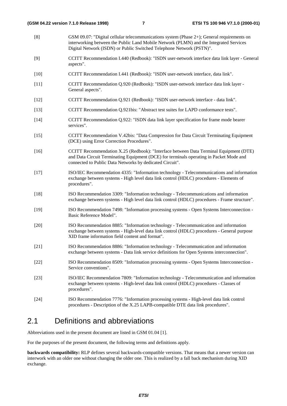[8] GSM 09.07: "Digital cellular telecommunications system (Phase 2+); General requirements on interworking between the Public Land Mobile Network (PLMN) and the Integrated Services Digital Network (ISDN) or Public Switched Telephone Network (PSTN)". [9] CCITT Recommendation I.440 (Redbook): "ISDN user-network interface data link layer - General aspects". [10] CCITT Recommendation I.441 (Redbook): "ISDN user-network interface, data link". [11] CCITT Recommendation Q.920 (Redbook): "ISDN user-network interface data link layer - General aspects". [12] CCITT Recommendation Q.921 (Redbook): "ISDN user-network interface - data link". [13] CCITT Recommendation Q.921bis: "Abstract test suites for LAPD conformance tests". [14] CCITT Recommendation Q.922: "ISDN data link layer specification for frame mode bearer services". [15] CCITT Recommendation V.42bis: "Data Compression for Data Circuit Terminating Equipment (DCE) using Error Correction Procedures". [16] CCITT Recommendation X.25 (Redbook): "Interface between Data Terminal Equipment (DTE) and Data Circuit Terminating Equipment (DCE) for terminals operating in Packet Mode and connected to Public Data Networks by dedicated Circuit". [17] ISO/IEC Recommendation 4335: "Information technology - Telecommunications and information exchange between systems - High level data link control (HDLC) procedures - Elements of procedures". [18] ISO Recommendation 3309: "Information technology - Telecommunications and information exchange between systems - High level data link control (HDLC) procedures - Frame structure". [19] ISO Recommendation 7498: "Information processing systems - Open Systems Interconnection - Basic Reference Model". [20] ISO Recommendation 8885: "Information technology - Telecommunication and information exchange between systems - High-level data link control (HDLC) procedures - General purpose XID frame information field content and format". [21] ISO Recommendation 8886: "Information technology - Telecommunication and information exchange between systems - Data link service definitions for Open Systems interconnection". [22] ISO Recommendation 8509: "Information processing systems - Open Systems Interconnection - Service conventions". [23] ISO/IEC Recommendation 7809: "Information technology - Telecommunication and information exchange between systems - High-level data link control (HDLC) procedures - Classes of procedures". [24] ISO Recommendation 7776: "Information processing systems - High-level data link control procedures - Description of the X.25 LAPB-compatible DTE data link procedures".

### 2.1 Definitions and abbreviations

Abbreviations used in the present document are listed in GSM 01.04 [1].

For the purposes of the present document, the following terms and definitions apply.

**backwards compatibility:** RLP defines several backwards-compatible versions. That means that a newer version can interwork with an older one without changing the older one. This is realized by a fall back mechanism during XID exchange.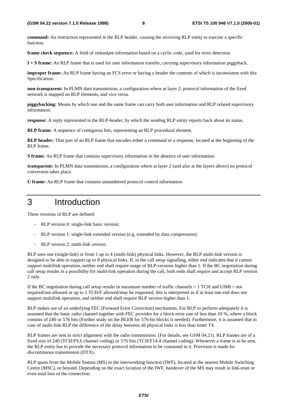**command:** An instruction represented in the RLP header, causing the receiving RLP entity to execute a specific function.

**frame check sequence:** A field of redundant information based on a cyclic code, used for error detection.

**I + S frame:** An RLP frame that is used for user information transfer, carrying supervisory information piggyback.

**improper frame:** An RLP frame having an FCS error or having a header the contents of which is inconsistent with this Specification.

**non-transparent:** In PLMN data transmission, a configuration where at layer 2, protocol information of the fixed network is mapped on RLP elements, and vice versa.

**piggybacking:** Means by which one and the same frame can carry both user information and RLP related supervisory information.

**response:** A reply represented in the RLP-header, by which the sending RLP entity reports back about its status.

**RLP frame:** A sequence of contiguous bits, representing an RLP procedural element.

**RLP header:** That part of an RLP frame that encodes either a command or a response, located at the beginning of the RLP frame.

**S frame:** An RLP frame that contains supervisory information in the absence of user information.

**transparent:** In PLMN data transmission, a configuration where at layer 2 (and also at the layers above) no protocol conversion takes place.

**U frame:** An RLP frame that contains unnumbered protocol control information.

## 3 Introduction

Three versions of RLP are defined:

- RLP version 0: single-link basic version;
- RLP version 1: single-link extended version (e.g. extended by data compression);
- RLP version 2: multi-link version.

RLP uses one (single-link) or from 1 up to 4 (multi-link) physical links. However, the RLP multi-link version is designed to be able to support up to 8 physical links. If, in the call setup signalling, either end indicates that it cannot support multilink operation, neither end shall require usage of RLP-versions higher than 1. If the BC negotiation during call setup results in a possibility for multi-link operation during the call, both ends shall require and accept RLP version 2 only.

If the BC negotiation during call setup results in maximum number of traffic channels  $= 1$  TCH and UIMI  $=$  not required/not allowed or up to 1 TCH/F allowed/may be requested, this is interpreted as if at least one end does not support multilink operation, and neither end shall require RLP version higher than 1.

RLP makes use of an underlying FEC (Forward Error Correction) mechanism. For RLP to perform adequately it is assumed that the basic radio channel together with FEC provides for a block error rate of less than 10 %, where a block consists of 240 or 576 bits (Further study on the BLER for 576-bit blocks is needed). Furthermore, it is assumed that in case of multi-link RLP the difference of the delay between all physical links is less than timer T4.

RLP frames are sent in strict alignment with the radio transmission. (For details, see GSM 04.21). RLP frames are of a fixed size of 240 (TCH/F9.6 channel coding) or 576 bits (TCH/F14.4 channel coding). Whenever a frame is to be sent, the RLP entity has to provide the necessary protocol information to be contained in it. Provision is made for discontinuous transmission (DTX).

RLP spans from the Mobile Station (MS) to the interworking function (IWF), located at the nearest Mobile Switching Centre (MSC), or beyond. Depending on the exact location of the IWF, handover of the MS may result in link-reset or even total loss of the connection.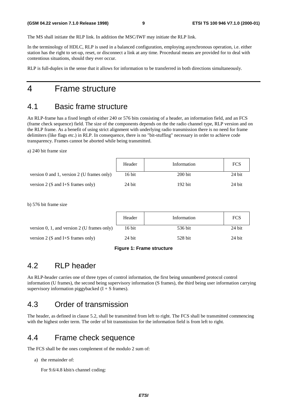The MS shall initiate the RLP link. In addition the MSC/IWF may initiate the RLP link.

In the terminology of HDLC, RLP is used in a balanced configuration, employing asynchronous operation, i.e. either station has the right to set-up, reset, or disconnect a link at any time. Procedural means are provided for to deal with contentious situations, should they ever occur.

RLP is full-duplex in the sense that it allows for information to be transferred in both directions simultaneously.

## 4 Frame structure

## 4.1 Basic frame structure

An RLP-frame has a fixed length of either 240 or 576 bits consisting of a header, an information field, and an FCS (frame check sequence) field. The size of the components depends on the the radio channel type, RLP version and on the RLP frame. As a benefit of using strict alignment with underlying radio transmission there is no need for frame delimiters (like flags etc.) in RLP. In consequence, there is no "bit-stuffing" necessary in order to achieve code transparency. Frames cannot be aborted while being transmitted.

a) 240 bit frame size

|                                            | Header | Information | <b>FCS</b> |
|--------------------------------------------|--------|-------------|------------|
| version 0 and 1, version 2 (U frames only) | 16 bit | $200$ bit   | 24 bit     |
| version 2 (S and I+S frames only)          | 24 bit | 192 bit     | 24 bit     |

b) 576 bit frame size

|                                             | Header | Information | <b>FCS</b> |
|---------------------------------------------|--------|-------------|------------|
| version 0, 1, and version 2 (U frames only) | 16 bit | 536 bit     | 24 bit     |
| version 2 (S and I+S frames only)           | 24 bit | 528 bit     | 24 bit     |

### **Figure 1: Frame structure**

## 4.2 RLP header

An RLP-header carries one of three types of control information, the first being unnumbered protocol control information (U frames), the second being supervisory information (S frames), the third being user information carrying supervisory information piggybacked  $(I + S)$  frames).

## 4.3 Order of transmission

The header, as defined in clause 5.2, shall be transmitted from left to right. The FCS shall be transmitted commencing with the highest order term. The order of bit transmission for the information field is from left to right.

## 4.4 Frame check sequence

The FCS shall be the ones complement of the modulo 2 sum of:

a) the remainder of:

For 9.6/4.8 kbit/s channel coding: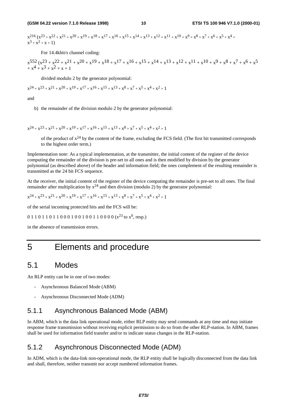$x^{216}$   $(x^{23} + x^{22} + x^{21} + x^{20} + x^{19} + x^{18} + x^{17} + x^{16} + x^{15} + x^{14} + x^{13} + x^{12} + x^{11} + x^{10} + x^9 + x^8 + x^7 + x^6 + x^5 + x^4 + x^{10} + x^{10} + x^{11} + x^{10} + x^{11} + x^{10} + x^{11} + x^{10} + x^{11} + x^{10} + x^{11} + x^{10} + x^{11} + x^{10} + x^{11} + x^{10} + x^{11} + x$  $x^3 + x^2 + x + 1$ 

For 14.4kbit/s channel coding:

$$
\begin{aligned} &\phantom{\frac{1}{1}}\phantom{\frac{1}{1}}\phantom{\frac{1}{1}}\phantom{\frac{1}{1}}\phantom{\frac{1}{1}}\phantom{\frac{1}{1}}\phantom{\frac{1}{1}}\phantom{\frac{1}{1}}\phantom{\frac{1}{1}}\phantom{\frac{1}{1}}\phantom{\frac{1}{1}}\phantom{\frac{1}{1}}\phantom{\frac{1}{1}}\phantom{\frac{1}{1}}\phantom{\frac{1}{1}}\phantom{\frac{1}{1}}\phantom{\frac{1}{1}}\phantom{\frac{1}{1}}\phantom{\frac{1}{1}}\phantom{\frac{1}{1}}\phantom{\frac{1}{1}}\phantom{\frac{1}{1}}\phantom{\frac{1}{1}}\phantom{\frac{1}{1}}\phantom{\frac{1}{1}}\phantom{\frac{1}{1}}\phantom{\frac{1}{1}}\phantom{\frac{1}{1}}\phantom{\frac{1}{1}}\phantom{\frac{1}{1}}\phantom{\frac{1}{1}}\phantom{\frac{1}{1}}\phantom{\frac{1}{1}}\phantom{\frac{1}{1}}\phantom{\frac{1}{1}}\phantom{\frac{1}{1}}\phantom{\frac{1}{1}}\phantom{\frac{1}{1}}\phantom{\frac{1}{1}}\phantom{\frac{1}{1}}\phantom{\frac{1}{1}}\phantom{\frac{1}{1}}\phantom{\frac{1}{1}}\phantom{\frac{1}{1}}\phantom{\frac{1}{1}}\phantom{\frac{1}{1}}\phantom{\frac{1}{1}}\phantom{\frac{1}{1}}\phantom{\frac{1}{1}}\phantom{\frac{1}{1}}\phantom{\frac{1}{1}}\phantom{\frac{1}{1}}\phantom{\frac{1}{1}}\phantom{\frac{1}{1}}\phantom{\frac{1}{1}}\phantom{\frac{1}{1}}\phantom{\frac{1}{1}}\phantom{\frac{1}{1}}\phantom{\frac{1}{1}}\phantom{\frac{1}{1}}\phantom{\frac{1}{1}}\phantom{\frac{1}{1}}\phantom{\frac{1}{1}}\phantom{\frac{1}{1}}\phantom{\frac{1}{1}}\phantom{\frac{1}{1}}\phantom{\frac{1}{1}}\phantom{\frac{1}{1}}\phantom{\frac{1}{1}}\phantom{\frac{1}{1}}\phantom{\frac{1}{1}}\phantom{\frac{1}{1}}\phantom{\frac{1}{1}}\phantom{\frac{1}{1}}\phantom{\frac{1}{1}}\phantom{\
$$

divided modulo 2 by the generator polynomial:

$$
x^{24} + x^{23} + x^{21} + x^{20} + x^{19} + x^{17} + x^{16} + x^{15} + x^{13} + x^8 + x^7 + x^5 + x^4 + x^2 + 1
$$

and

b) the remainder of the division modulo 2 by the generator polynomial:

$$
x^{24} + x^{23} + x^{21} + x^{20} + x^{19} + x^{17} + x^{16} + x^{15} + x^{13} + x^8 + x^7 + x^5 + x^4 + x^2 + 1
$$

of the product of  $x^{24}$  by the content of the frame, excluding the FCS field. (The first bit transmitted corresponds to the highest order term.)

Implementation note: As a typical implementation, at the transmitter, the initial content of the register of the device computing the remainder of the division is pre-set to all ones and is then modified by division by the generator polynomial (as described above) of the header and information field; the ones complement of the resulting remainder is transmitted as the 24 bit FCS sequence.

At the receiver, the initial content of the register of the device computing the remainder is pre-set to all ones. The final remainder after multiplication by  $x^{24}$  and then division (modulo 2) by the generator polynomial:

$$
x^{24} + x^{23} + x^{21} + x^{20} + x^{19} + x^{17} + x^{16} + x^{15} + x^{13} + x^8 + x^7 + x^5 + x^4 + x^2 + 1
$$

of the serial incoming protected bits and the FCS will be:

 $0 1 1 0 1 1 0 1 1 0 0 0 1 0 0 1 0 0 1 1 0 0 0 0 (x<sup>23</sup> to x<sup>0</sup>, resp.)$ 

in the absence of transmission errors.

## 5 Elements and procedure

### 5.1 Modes

An RLP entity can be in one of two modes:

- Asynchronous Balanced Mode (ABM)
- Asynchronous Disconnected Mode (ADM)

### 5.1.1 Asynchronous Balanced Mode (ABM)

In ABM, which is the data link operational mode, either RLP entity may send commands at any time and may initiate response frame transmission without receiving explicit permission to do so from the other RLP-station. In ABM, frames shall be used for information field transfer and/or to indicate status changes in the RLP-station.

### 5.1.2 Asynchronous Disconnected Mode (ADM)

In ADM, which is the data-link non-operational mode, the RLP entity shall be logically disconnected from the data link and shall, therefore, neither transmit nor accept numbered information frames.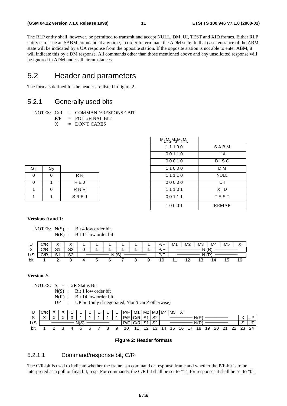The RLP entity shall, however, be permitted to transmit and accept NULL, DM, UI, TEST and XID frames. Either RLP entity can issue an SABM command at any time, in order to terminate the ADM state. In that case, entrance of the ABM state will be indicated by a UA response from the opposite station. If the opposite station is not able to enter ABM, it will indicate this by a DM response. All commands other than those mentioned above and any unsolicited response will be ignored in ADM under all circumstances.

## 5.2 Header and parameters

The formats defined for the header are listed in figure 2.

### 5.2.1 Generally used bits

```
NOTES: C/R = COMMAND/RESPONSE BIT
```
P/F = POLL/FINAL BIT

 $X =$  DON'T CARES

|                |          |                | $M_1M_2M_3M_4M_5$ |              |
|----------------|----------|----------------|-------------------|--------------|
|                |          |                | 11100             | SABM         |
|                |          |                | 00110             | U A          |
|                |          |                | 00010             | <b>DISC</b>  |
| $S_1$          | $S_2$    |                | 11000             | D M          |
| $\mathbf 0$    | $\Omega$ | R <sub>R</sub> | 11110             | <b>NULL</b>  |
| $\mathbf 0$    | 1        | REJ            | 00000             | UI           |
| $\overline{1}$ | $\Omega$ | <b>RNR</b>     | 11101             | XID          |
| $\overline{1}$ | 1        | SREJ           | 00111             | <b>TEST</b>  |
|                |          |                | 10001             | <b>REMAP</b> |

| S <sub>1</sub> | $S_2$ |                |
|----------------|-------|----------------|
|                |       | R <sub>R</sub> |
|                |       | REJ            |
|                |       | <b>RNR</b>     |
|                |       | SREJ           |

### **Versions 0 and 1:**

NOTES: N(S) : Bit 4 low order bit N(R) : Bit 11 low order bit

|     | ם/ ר<br>◡៸Ⴡ | $\cdot$<br>↗ |                |              |  |  |  |  | P/F | M <sub>1</sub> | M <sub>2</sub> | M <sub>3</sub> | M4 | M <sub>5</sub> |    |
|-----|-------------|--------------|----------------|--------------|--|--|--|--|-----|----------------|----------------|----------------|----|----------------|----|
|     | $\sim$      | ິ<br>ا ب     | S <sub>2</sub> |              |  |  |  |  | P/F |                |                | N              | 6R |                |    |
| 1+0 | $\sim$      | ິ            | <b>ດ</b><br>ےت | $\sim$<br>10 |  |  |  |  | P/F |                |                | N              | 7R |                |    |
| bit |             |              |                |              |  |  |  |  |     |                |                |                |    | 15             | 16 |

#### **Version 2:**

NOTES: S = L2R Status Bit

N(S) : Bit 1 low order bit

N(R) : Bit 14 low order bit

UP : UP bit (only if negotiated, 'don't care' otherwise)

|     | $\sqrt{2}$       |           |  |      |  |  | P/F | M1 | M2     | ΜЗ      | M4 | M <sub>5</sub> |    |      |    |    |     |                |    |
|-----|------------------|-----------|--|------|--|--|-----|----|--------|---------|----|----------------|----|------|----|----|-----|----------------|----|
| ٮ   | $\lambda$<br>. . | $\lambda$ |  |      |  |  | D/E |    | $\sim$ | co<br>ັ |    |                |    | N(F  |    |    |     | $\sqrt{}$<br>⋏ | UF |
| 1+S |                  |           |  | N(S) |  |  | D/E |    | ິ      | ົ<br>ັ້ |    |                |    | N(F) |    |    |     | ت              | יש |
| bit |                  |           |  |      |  |  |     |    | 12     | 3       | 14 | 15             | 16 | 18   | 19 | 20 | ົດຕ | າາ             | 24 |

#### **Figure 2: Header formats**

### 5.2.1.1 Command/response bit, C/R

The C/R-bit is used to indicate whether the frame is a command or response frame and whether the P/F-bit is to be interpreted as a poll or final bit, resp. For commands, the C/R bit shall be set to "1", for responses it shall be set to "0".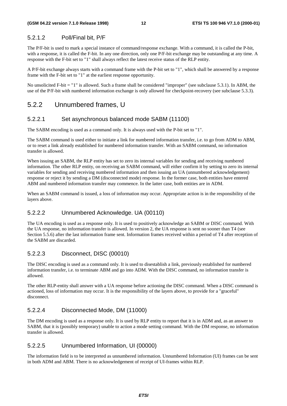### 5.2.1.2 Poll/Final bit, P/F

The P/F-bit is used to mark a special instance of command/response exchange. With a command, it is called the P-bit, with a response, it is called the F-bit. In any one direction, only one P/F-bit exchange may be outstanding at any time. A response with the F-bit set to "1" shall always reflect the latest receive status of the RLP entity.

A P/F-bit exchange always starts with a command frame with the P-bit set to "1", which shall be answered by a response frame with the F-bit set to "1" at the earliest response opportunity.

No unsolicited F-bit = "1" is allowed. Such a frame shall be considered "improper" (see subclause 5.3.1). In ABM, the use of the P/F-bit with numbered information exchange is only allowed for checkpoint-recovery (see subclause 5.3.3).

### 5.2.2 Unnumbered frames, U

### 5.2.2.1 Set asynchronous balanced mode SABM (11100)

The SABM encoding is used as a command only. It is always used with the P-bit set to "1".

The SABM command is used either to initiate a link for numbered information transfer, i.e. to go from ADM to ABM, or to reset a link already established for numbered information transfer. With an SABM command, no information transfer is allowed.

When issuing an SABM, the RLP entity has set to zero its internal variables for sending and receiving numbered information. The other RLP entity, on receiving an SABM command, will either confirm it by setting to zero its internal variables for sending and receiving numbered information and then issuing an UA (unnumbered acknowledgement) response or reject it by sending a DM (disconnected mode) response. In the former case, both entities have entered ABM and numbered information transfer may commence. In the latter case, both entities are in ADM.

When an SABM command is issued, a loss of information may occur. Appropriate action is in the responsibility of the layers above.

### 5.2.2.2 Unnumbered Acknowledge. UA (00110)

The UA encoding is used as a response only. It is used to positively acknowledge an SABM or DISC command. With the UA response, no information transfer is allowed. In version 2, the UA response is sent no sooner than T4 (see Section 5.5.6) after the last information frame sent. Information frames received within a period of T4 after reception of the SABM are discarded.

### 5.2.2.3 Disconnect, DISC (00010)

The DISC encoding is used as a command only. It is used to disestablish a link, previously established for numbered information transfer, i.e. to terminate ABM and go into ADM. With the DISC command, no information transfer is allowed.

The other RLP-entity shall answer with a UA response before actioning the DISC command. When a DISC command is actioned, loss of information may occur. It is the responsibility of the layers above, to provide for a "graceful" disconnect.

### 5.2.2.4 Disconnected Mode, DM (11000)

The DM encoding is used as a response only. It is used by RLP entity to report that it is in ADM and, as an answer to SABM, that it is (possibly temporary) unable to action a mode setting command. With the DM response, no information transfer is allowed.

### 5.2.2.5 Unnumbered Information, UI (00000)

The information field is to be interpreted as unnumbered information. Unnumbered Information (UI) frames can be sent in both ADM and ABM. There is no acknowledgement of receipt of UI-frames within RLP.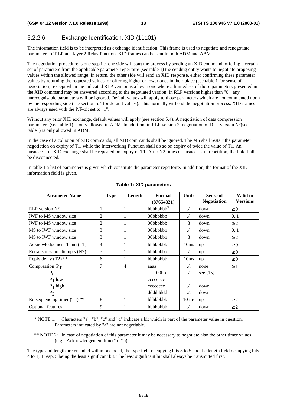### 5.2.2.6 Exchange Identification, XID (11101)

The information field is to be interpreted as exchange identification. This frame is used to negotiate and renegotiate parameters of RLP and layer 2 Relay function. XID frames can be sent in both ADM and ABM.

The negotiation procedure is one step i.e. one side will start the process by sending an XID command, offering a certain set of parameters from the applicable parameter repertoire (see table 1) the sending entity wants to negotiate proposing values within the allowed range. In return, the other side will send an XID response, either confirming these parameter values by returning the requested values, or offering higher or lower ones in their place (see table 1 for sense of negotiation), except when the indicated RLP version is a lower one where a limited set of those parameters presented in the XID command may be answered according to the negotiated version. In RLP versions higher than "0", any unrecognisable parameters will be ignored. Default values will apply to those parameters which are not commented upon by the responding side (see section 5.4 for default values). This normally will end the negotiation process. XID frames are always used with the P/F-bit set to "1".

Without any prior XID exchange, default values will apply (see section 5.4). A negotiation of data compression parameters (see table 1) is only allowed in ADM. In addition, in RLP version 2, negotiation of RLP version  $N^{\circ}$ (see table1) is only allowed in ADM.

In the case of a collision of XID commands, all XID commands shall be ignored. The MS shall restart the parameter negotiation on expiry of T1, while the Interworking Function shall do so on expiry of twice the value of T1. An unsuccessful XID exchange shall be repeated on expiry of T1. After N2 times of unsuccessful repetition, the link shall be disconnected.

In table 1 a list of parameters is given which constitute the parameter repertoire. In addition, the format of the XID information field is given.

| <b>Parameter Name</b>         | <b>Type</b> | Length | Format<br>(87654321)  | <b>Units</b>     | Sense of<br><b>Negotiation</b> | Valid in<br><b>Versions</b> |
|-------------------------------|-------------|--------|-----------------------|------------------|--------------------------------|-----------------------------|
| $RLP$ version $N^{\circ}$     |             |        | bbbbbbbb <sup>*</sup> | $\Lambda$ .      | down                           | $\geq 0$                    |
| <b>IWF</b> to MS window size  | 2           |        | 00bbbbbb              | $\sqrt{ }$ .     | down                           | 01                          |
| <b>IWF</b> to MS window size  | 2           |        | 00bbbbbb              | 8                | down                           | $\geq$ 2                    |
| MS to IWF window size         | 3           |        | 00bbbbbb              | $\sqrt{ }$ .     | down                           | 0.1                         |
| MS to IWF window size         | 3           |        | 00bbbbbb              | 8                | down                           | $\geq$ 2                    |
| Acknowledgement Timer(T1)     | 4           |        | bbbbbbb               | 10 <sub>ms</sub> | up                             | $\geq 0$                    |
| Retransmission attempts (N2)  | 5           |        | bbbbbbb               | $\Lambda$ .      | up                             | $\geq 0$                    |
| Reply delay $(T2)$ **         | 6           |        | bbbbbbb               | 10ms             | up                             | $\geq 0$                    |
| Compression $P_T$             |             | 4      | aaaa                  | $\Lambda$ .      | none                           | $\geq 1$                    |
| $P_{0}$                       |             |        | 00 <sub>bb</sub>      | ./.              | see [15]                       |                             |
| $P_1$ low                     |             |        | cccccccc              |                  |                                |                             |
| $P_1$ high                    |             |        | cccccccc              | $\Lambda$ .      | down                           |                             |
| P <sub>2</sub>                |             |        | ddddddd               | $\Lambda$ .      | down                           |                             |
| Re-sequencing timer $(T4)$ ** | 8           |        | bbbbbbb               | $10 \text{ ms}$  | up                             | $\geq$ 2                    |
| <b>Optional features</b>      | 9           |        | bbbbbbb               | $\Lambda$ .      | down                           | $\geq$ 2                    |

#### **Table 1: XID parameters**

\* NOTE 1: Characters "a", "b", "c" and "d" indicate a bit which is part of the parameter value in question. Parameters indicated by "a" are not negotiable.

\*\* NOTE 2: In case of negotiation of this parameter it may be necessary to negotiate also the other timer values (e.g. "Acknowledgement timer" (T1)).

The type and length are encoded within one octet, the type field occupying bits 8 to 5 and the length field occupying bits 4 to 1; 1 resp. 5 being the least significant bit. The least significant bit shall always be transmitted first.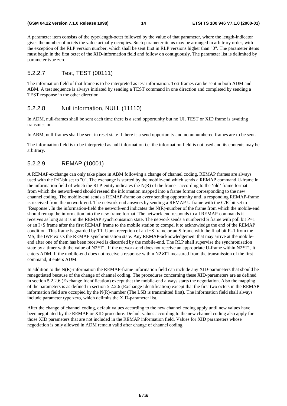A parameter item consists of the type/length-octet followed by the value of that parameter, where the length-indicator gives the number of octets the value actually occupies. Such parameter items may be arranged in arbitrary order, with the exception of the RLP version number, which shall be sent first in RLP versions higher than "0". The parameter items must begin in the first octet of the XID-information field and follow on contiguously. The parameter list is delimited by parameter type zero.

### 5.2.2.7 Test, TEST (00111)

The information field of that frame is to be interpreted as test information. Test frames can be sent in both ADM and ABM. A test sequence is always initiated by sending a TEST command in one direction and completed by sending a TEST response in the other direction.

#### 5.2.2.8 Null information, NULL (11110)

In ADM, null-frames shall be sent each time there is a send opportunity but no UI, TEST or XID frame is awaiting transmission.

In ABM, null-frames shall be sent in reset state if there is a send opportunity and no unnumbered frames are to be sent.

The information field is to be interpreted as null information i.e. the information field is not used and its contents may be arbitrary.

### 5.2.2.9 REMAP (10001)

A REMAP-exchange can only take place in ABM following a change of channel coding. REMAP frames are always used with the P/F-bit set to "0". The exchange is started by the mobile-end which sends a REMAP command U-frame in the information field of which the RLP-entity indicates the  $N(R)$  of the frame - according to the 'old' frame format from which the network-end should resend the information mapped into a frame format corresponding to the new channel coding. The mobile-end sends a REMAP-frame on every sending opportunity until a responding REMAP-frame is received from the network-end. The network-end answers by sending a REMAP U-frame with the C/R-bit set to 'Response'. In the information-field the network-end indicates the N(R)-number of the frame from which the mobile-end should remap the information into the new frame format. The network-end responds to all REMAP-commands it receives as long as it is in the REMAP synchronisation state. The network sends a numbered S frame with poll bit  $P=1$ or an I+S frame after the first REMAP frame to the mobile station to compel it to acknowledge the end of the REMAP condition. This frame is guarded by T1. Upon reception of an I+S frame or an S frame with the final bit  $F=1$  from the MS, the IWF exists the REMAP synchronisation state. Any REMAP-acknowledgement that may arrive at the mobileend after one of them has been received is discarded by the mobile-end. The RLP shall supervise the synchronisation state by a timer with the value of  $N2*T1$ . If the network-end does not receive an appropriate U-frame within  $N2*T1$ , it enters ADM. If the mobile-end does not receive a response within N2×T1 measured from the transmission of the first command, it enters ADM.

In addition to the N(R)-information the REMAP-frame information field can include any XID-parameters that should be renegotiated because of the change of channel coding. The procedures concerning these XID-parameters are as defined in section 5.2.2.6 (Exchange Identification) except that the mobile-end always starts the negotiation. Also the mapping of the parameters is as defined in section 5.2.2.6 (Exchange Identification) except that the first two octets in the REMAP information field are occupied by the N(R)-number (The LSB is transmitted first). The information field shall always include parameter type zero, which delimits the XID-parameter list.

After the change of channel coding, default values according to the new channel coding apply until new values have been negotiated by the REMAP or XID procedure. Default values according to the new channel coding also apply for those XID parameters that are not included in the REMAP information field. Values for XID parameters whose negotiation is only allowed in ADM remain valid after change of channel coding.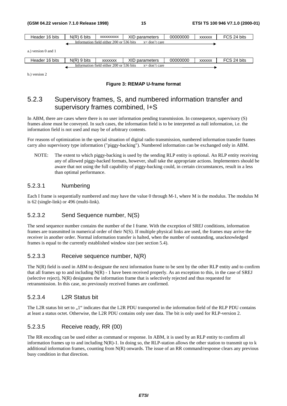| Header 16 bits                                               | $N(R)$ 6 bits                                                | <b>XXXXXXXXXX</b> | XID parameters | 00000000 | <b>XXXXXX</b> | FCS 24 bits |  |  |
|--------------------------------------------------------------|--------------------------------------------------------------|-------------------|----------------|----------|---------------|-------------|--|--|
|                                                              | Information field either 200 or 536 bits<br>$x = don't care$ |                   |                |          |               |             |  |  |
| a.) version 0 and 1                                          |                                                              |                   |                |          |               |             |  |  |
| Header 16 bits                                               | $N(R)$ 9 bits                                                | <b>XXXXXXX</b>    | XID parameters | 00000000 | <b>XXXXXX</b> | FCS 24 bits |  |  |
| Information field either 200 or 536 bits<br>$x = don't care$ |                                                              |                   |                |          |               |             |  |  |

b.) version 2

#### **Figure 3: REMAP U-frame format**

## 5.2.3 Supervisory frames, S, and numbered information transfer and supervisory frames combined, I+S

In ABM, there are cases where there is no user information pending transmission. In consequence, supervisory (S) frames alone must be conveyed. In such cases, the information field is to be interpreted as null information, i.e. the information field is not used and may be of arbitrary contents.

For reasons of optimization in the special situation of digital radio transmission, numbered information transfer frames carry also supervisory type information ("piggy-backing"). Numbered information can be exchanged only in ABM.

NOTE: The extent to which piggy-backing is used by the sending RLP entity is optional. An RLP entity receiving any of allowed piggy-backed formats, however, shall take the appropriate actions. Implementers should be aware that not using the full capability of piggy-backing could, in certain circumstances, result in a less than optimal performance.

### 5.2.3.1 Numbering

Each I frame is sequentially numbered and may have the value 0 through M-1, where M is the modulus. The modulus M is 62 (single-link) or 496 (multi-link).

### 5.2.3.2 Send Sequence number, N(S)

The send sequence number contains the number of the I frame. With the exception of SREJ conditions, information frames are transmitted in numerical order of their N(S). If multiple physical links are used, the frames may arrive the receiver in another order. Normal information transfer is halted, when the number of outstanding, unacknowledged frames is equal to the currently established window size (see section 5.4).

#### 5.2.3.3 Receive sequence number, N(R)

The N(R) field is used in ABM to designate the next information frame to be sent by the other RLP entity and to confirm that all frames up to and including  $N(R)$  - 1 have been received properly. As an exception to this, in the case of SREJ (selective reject), N(R) designates the information frame that is selectively rejected and thus requested for retransmission. In this case, no previously received frames are confirmed.

#### 5.2.3.4 L2R Status bit

The L2R status bit set to  $.1$ " indicates that the L2R PDU transported in the information field of the RLP PDU contains at least a status octet. Otherwise, the L2R PDU contains only user data. The bit is only used for RLP-version 2.

### 5.2.3.5 Receive ready, RR (00)

The RR encoding can be used either as command or response. In ABM, it is used by an RLP entity to confirm all information frames up to and including  $N(R)$ -1. In doing so, the RLP-station allows the other station to transmit up to k additional information frames, counting from  $N(R)$  onwards. The issue of an RR command/response clears any previous busy condition in that direction.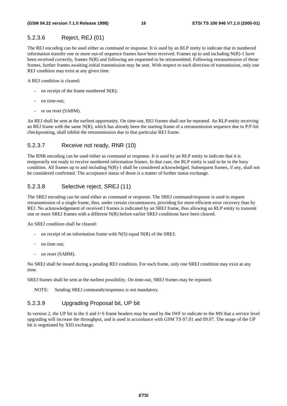### 5.2.3.6 Reject, REJ (01)

The REJ encoding can be used either as command or response. It is used by an RLP entity to indicate that in numbered information transfer one or more out-of sequence frames have been received. Frames up to and including N(R)-1 have been received correctly, frames N(R) and following are requested to be retransmitted. Following retransmission of those frames, further frames awaiting initial transmission may be sent. With respect to each direction of transmission, only one REJ condition may exist at any given time.

A REJ condition is cleared:

- on receipt of the frame numbered  $N(R)$ ;
- on time-out;
- or on reset (SABM).

An REJ shall be sent at the earliest opportunity. On time-out, REJ frames shall not be repeated. An RLP-entity receiving an REJ frame with the same N(R), which has already been the starting frame of a retransmission sequence due to P/F-bit checkpointing, shall inhibit the retransmission due to that particular REJ frame.

### 5.2.3.7 Receive not ready, RNR (10)

The RNR encoding can be used either as command or response. It is used by an RLP entity to indicate that it is temporarily not ready to receive numbered information frames. In that case, the RLP entity is said to be in the busy condition. All frames up to and including  $N(R)$ -1 shall be considered acknowledged. Subsequent frames, if any, shall not be considered confirmed. The acceptance status of those is a matter of further status exchange.

### 5.2.3.8 Selective reject, SREJ (11)

The SREJ encoding can be used either as command or response. The SREJ command/response is used to request retransmission of a single frame, thus, under certain circumstances, providing for more efficient error recovery than by REJ. No acknowledgement of received I frames is indicated by an SREJ frame, thus allowing an RLP entity to transmit one or more SREJ frames with a different N(R) before earlier SREJ conditions have been cleared.

An SREJ condition shall be cleared:

- on receipt of an information frame with  $N(S)$  equal  $N(R)$  of the SREJ;
- on time out;
- on reset (SABM).

No SREJ shall be issued during a pending REJ condition. For each frame, only one SREJ condition may exist at any time.

SREJ frames shall be sent at the earliest possibility. On time-out, SREJ frames may be repeated.

NOTE: Sending SREJ commands/responses is not mandatory.

### 5.2.3.9 Upgrading Proposal bit, UP bit

In version 2, the UP bit in the S and I+S frame headers may be used by the IWF to indicate to the MS that a service level upgrading will increase the throughput, and is used in accordance with GSM TS 07.01 and 09.07. The usage of the UP bit is negotiated by XID exchange.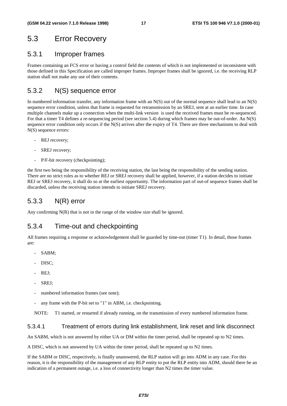## 5.3 Error Recovery

### 5.3.1 Improper frames

Frames containing an FCS error or having a control field the contents of which is not implemented or inconsistent with those defined in this Specification are called improper frames. Improper frames shall be ignored, i.e. the receiving RLP station shall not make any use of their contents.

## 5.3.2 N(S) sequence error

In numbered information transfer, any information frame with an N(S) out of the normal sequence shall lead to an N(S) sequence error condition, unless that frame is requested for retransmission by an SREJ, sent at an earlier time. In case multiple channels make up a connection when the multi-link version is used the received frames must be re-sequenced. For that a timer T4 defines a re-sequencing period (see section 5.4) during which frames may be out-of-order. An N(S) sequence error condition only occurs if the N(S) arrives after the expiry of T4. There are three mechanisms to deal with N(S) sequence errors:

- REJ recovery;
- SREJ recovery;
- P/F-bit recovery (checkpointing);

the first two being the responsibility of the receiving station, the last being the responsibility of the sending station. There are no strict rules as to whether REJ or SREJ recovery shall be applied, however, if a station decides to initiate REJ or SREJ recovery, it shall do so at the earliest opportunity. The information part of out-of sequence frames shall be discarded, unless the receiving station intends to initiate SREJ recovery.

## 5.3.3 N(R) error

Any confirming  $N(R)$  that is not in the range of the window size shall be ignored.

### 5.3.4 Time-out and checkpointing

All frames requiring a response or acknowledgement shall be guarded by time-out (timer T1). In detail, those frames are:

- SABM;
- DISC:
- REJ:
- SREJ:
- numbered information frames (see note);
- any frame with the P-bit set to "1" in ABM, i.e. checkpointing.

NOTE: T1 started, or restarted if already running, on the transmission of every numbered information frame.

### 5.3.4.1 Treatment of errors during link establishment, link reset and link disconnect

An SABM, which is not answered by either UA or DM within the timer period, shall be repeated up to N2 times.

A DISC, which is not answered by UA within the timer period, shall be repeated up to N2 times.

If the SABM or DISC, respectively, is finally unanswered, the RLP station will go into ADM in any case. For this reason, it is the responsibility of the management of any RLP entity to put the RLP entity into ADM, should there be an indication of a permanent outage, i.e. a loss of connectivity longer than N2 times the timer value.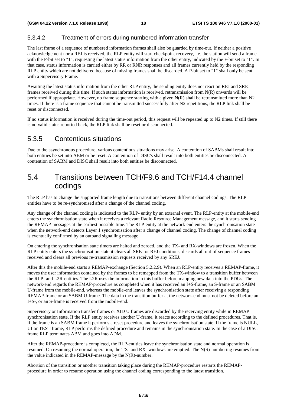### 5.3.4.2 Treatment of errors during numbered information transfer

The last frame of a sequence of numbered information frames shall also be guarded by time-out. If neither a positive acknowledgement nor a REJ is received, the RLP entity will start checkpoint recovery, i.e. the station will send a frame with the P-bit set to "1", requesting the latest status information from the other entity, indicated by the F-bit set to "1". In that case, status information is carried either by RR or RNR responses and all frames currently held by the responding RLP entity which are not delivered because of missing frames shall be discarded. A P-bit set to "1" shall only be sent with a Supervisory Frame.

Awaiting the latest status information from the other RLP entity, the sending entity does not react on REJ and SREJ frames received during this time. If such status information is received, retransmission from N(R) onwards will be performed if appropriate. However, no frame sequence starting with a given N(R) shall be retransmitted more than N2 times. If there is a frame sequence that cannot be transmitted successfully after N2 repetitions, the RLP link shall be reset or disconnected.

If no status information is received during the time-out period, this request will be repeated up to N2 times. If still there is no valid status reported back, the RLP link shall be reset or disconnected.

### 5.3.5 Contentious situations

Due to the asynchronous procedure, various contentious situations may arise. A contention of SABMs shall result into both entities be set into ABM or be reset. A contention of DISC's shall result into both entities be disconnected. A contention of SABM and DISC shall result into both entities be disconnected.

## 5.4 Transitions between TCH/F9.6 and TCH/F14.4 channel codings

The RLP has to change the supported frame length due to transitions between different channel codings. The RLP entities have to be re-synchronised after a change of the channel coding.

Any change of the channel coding is indicated to the RLP- entity by an external event. The RLP-entity at the mobile-end enters the synchronisation state when it receives a relevant Radio Resource Management message, and it starts sending the REMAP-messages at the earliest possible time. The RLP-entity at the network-end enters the synchronisation state when the network-end detects Layer 1 synchronisation after a change of channel coding. The change of channel coding is eventually confirmed by an outband signalling message.

On entering the synchronisation state timers are halted and zeroed, and the TX- and RX-windows are frozen. When the RLP entity enters the synchronisation state it clears all SREJ or REJ conditions, discards all out-of-sequence frames received and clears all previous re-transmission requests received by any SREJ.

After this the mobile-end starts a REMAP-exchange (Section 5.2.2.9). When an RLP-entity receives a REMAP-frame, it moves the user information contained by the frames to be remapped from the TX-window to a transition buffer between the RLP- and L2R-entities. The L2R uses the information in this buffer before mapping new data into the PDUs. The network-end regards the REMAP-procedure as completed when it has received an I+S-frame, an S-frame or an SABM U-frame from the mobile-end, whereas the mobile-end leaves the synchronisation state after receiving a responding REMAP-frame or an SABM U-frame. The data in the transition buffer at the network-end must not be deleted before an I+S-, or an S-frame is received from the mobile-end.

Supervisory or Information transfer frames or XID U frames are discarded by the receiving entity while in REMAP synchronisation state. If the RLP entity receives another U-frame, it reacts according to the defined procedures. That is, if the frame is an SABM frame it performs a reset procedure and leaves the synchronisation state. If the frame is NULL, UI or TEST frame, RLP performs the defined procedure and remains in the synchronisation state. In the case of a DISC frame RLP terminates ABM and goes into ADM.

After the REMAP-procedure is completed, the RLP-entities leave the synchronisation state and normal operation is resumed. On resuming the normal operation, the TX- and RX- windows are emptied. The N(S)-numbering resumes from the value indicated in the REMAP-message by the N(R)-number.

Abortion of the transition or another transition taking place during the REMAP-procedure restarts the REMAPprocedure in order to resume operation using the channel coding corresponding to the latest transition.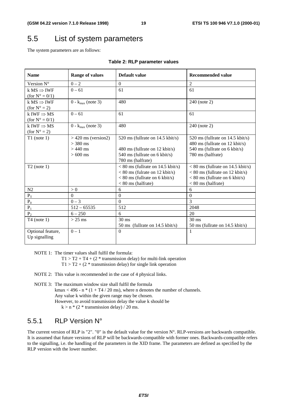## 5.5 List of system parameters

The system parameters are as follows:

| <b>Name</b>                                        | <b>Range of values</b>                                         | Default value                                                                                                                       | <b>Recommended value</b>                                                                                                             |
|----------------------------------------------------|----------------------------------------------------------------|-------------------------------------------------------------------------------------------------------------------------------------|--------------------------------------------------------------------------------------------------------------------------------------|
| Version N°                                         | $0 - 2$                                                        | $\Omega$                                                                                                                            | $\mathfrak{D}$                                                                                                                       |
| k $MS \Rightarrow IWF$<br>(for $N^{\circ} = 0/1$ ) | $0 - 61$                                                       | 61                                                                                                                                  | 61                                                                                                                                   |
| k $MS \Rightarrow IWF$<br>$for N^{\circ} = 2)$     | $0 - k_{\text{max}}$ (note 3)                                  | 480                                                                                                                                 | 240 (note 2)                                                                                                                         |
| k IWF $\Rightarrow$ MS<br>(for $N^{\circ} = 0/1$ ) | $0 - 61$                                                       | 61                                                                                                                                  | 61                                                                                                                                   |
| k IWF $\Rightarrow$ MS<br>$for N^{\circ} = 2$      | $0 - k_{max}$ (note 3)                                         | 480                                                                                                                                 | 240 (note 2)                                                                                                                         |
| $T1$ (note 1)                                      | $>$ 420 ms (version2)<br>$>$ 380 ms<br>$>440$ ms<br>$> 600$ ms | 520 ms (fullrate on 14.5 kbit/s)<br>480 ms (fullrate on 12 kbit/s)<br>540 ms (fullrate on 6 kbit/s)<br>780 ms (halfrate)            | 520 ms (fullrate on 14.5 kbit/s)<br>480 ms (fullrate on 12 kbit/s)<br>540 ms (fullrate on 6 kbit/s)<br>780 ms (halfrate)             |
| $T2$ (note 1)                                      |                                                                | $< 80$ ms (fullrate on 14.5 kbit/s)<br>$< 80$ ms (fulrate on 12 kbit/s)<br>$< 80$ ms (fullrate on 6 kbit/s)<br>$< 80$ ms (halfrate) | $< 80$ ms (fullrate on 14.5 kbit/s)<br>$< 80$ ms (fullrate on 12 kbit/s)<br>$< 80$ ms (fullrate on 6 kbit/s)<br>$< 80$ ms (halfrate) |
| N <sub>2</sub>                                     | > 0                                                            | 6                                                                                                                                   | 6                                                                                                                                    |
| $P_T$                                              | $\Omega$                                                       | $\overline{0}$                                                                                                                      | $\Omega$                                                                                                                             |
| $P_0$                                              | $0 - 3$                                                        | $\theta$                                                                                                                            | 3                                                                                                                                    |
| $\mathbf{P}_1$                                     | $512 - 65535$                                                  | 512                                                                                                                                 | 2048                                                                                                                                 |
| P <sub>2</sub>                                     | $6 - 250$                                                      | 6                                                                                                                                   | 20                                                                                                                                   |
| $T4$ (note 1)                                      | $>$ 25 ms                                                      | $30 \text{ ms}$<br>50 ms (fullrate on 14.5 kbit/s)                                                                                  | $30 \text{ ms}$<br>50 ms (fullrate on 14.5 kbit/s)                                                                                   |
| Optional feature,<br>Up signalling                 | $0 - 1$                                                        | $\theta$                                                                                                                            | 1                                                                                                                                    |

### **Table 2: RLP parameter values**

NOTE 1: The timer values shall fulfil the formula:

 $T1 > T2 + T4 + (2$  \* transmission delay) for multi-link operation

- $T1 > T2 + (2 * transmission delay)$  for single link operation
- NOTE 2: This value is recommended in the case of 4 physical links.

NOTE 3: The maximum window size shall fulfil the formula kmax < 496 - n  $*(1 + T4 / 20 \text{ ms})$ , where n denotes the number of channels. Any value k within the given range may be chosen. However, to avoid transmission delay the value k should be  $k > n * (2 * transmission delay) / 20 ms.$ 

### 5.5.1 RLP Version N°

The current version of RLP is "2". "0" is the default value for the version N°. RLP-versions are backwards compatible. It is assumed that future versions of RLP will be backwards-compatible with former ones. Backwards-compatible refers to the signalling, i.e. the handling of the parameters in the XID frame. The parameters are defined as specified by the RLP version with the lower number.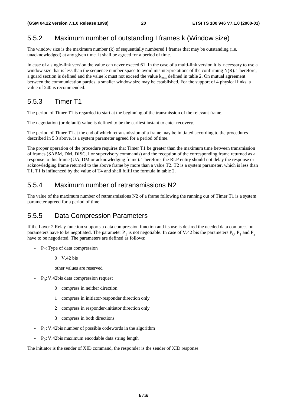## 5.5.2 Maximum number of outstanding I frames k (Window size)

The window size is the maximum number (k) of sequentially numbered I frames that may be outstanding (i.e. unacknowledged) at any given time. It shall be agreed for a period of time.

In case of a single-link version the value can never exceed 61. In the case of a multi-link version it is necessary to use a window size that is less than the sequence number space to avoid misinterpretations of the confirming N(R). Therefore, a guard section is defined and the value k must not exceed the value k<sub>max</sub> defined in table 2. On mutual agreement between the communication parties, a smaller window size may be established. For the support of 4 physical links, a value of 240 is recommended.

### 5.5.3 Timer T1

The period of Timer T1 is regarded to start at the beginning of the transmission of the relevant frame.

The negotiation (or default) value is defined to be the earliest instant to enter recovery.

The period of Timer T1 at the end of which retransmission of a frame may be initiated according to the procedures described in 5.3 above, is a system parameter agreed for a period of time.

The proper operation of the procedure requires that Timer T1 be greater than the maximum time between transmission of frames (SABM, DM, DISC, I or supervisory commands) and the reception of the corresponding frame returned as a response to this frame (UA, DM or acknowledging frame). Therefore, the RLP entity should not delay the response or acknowledging frame returned to the above frame by more than a value T2. T2 is a system parameter, which is less than T1. T1 is influenced by the value of T4 and shall fulfil the formula in table 2.

### 5.5.4 Maximum number of retransmissions N2

The value of the maximum number of retransmissions N2 of a frame following the running out of Timer T1 is a system parameter agreed for a period of time.

### 5.5.5 Data Compression Parameters

If the Layer 2 Relay function supports a data compression function and its use is desired the needed data compression parameters have to be negotiated. The parameter  $P_T$  is not negotiable. In case of V.42 bis the parameters  $P_0$ ,  $P_1$  and  $P_2$ have to be negotiated. The parameters are defined as follows:

 $-P_T$ : Type of data compression

0 V.42 bis

other values are reserved

- $-P_0$ : V.42bis data compression request
	- 0 compress in neither direction
	- 1 compress in initiator-responder direction only
	- 2 compress in responder-initiator direction only
	- 3 compress in both directions
- $-P_1$ : V.42bis number of possible codewords in the algorithm
- $P_2$ : V.42bis maximum encodable data string length

The initiator is the sender of XID command, the responder is the sender of XID response.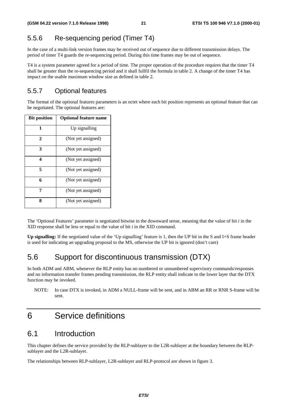## 5.5.6 Re-sequencing period (Timer T4)

In the case of a multi-link version frames may be received out of sequence due to different transmission delays. The period of timer T4 guards the re-sequencing period. During this time frames may be out of sequence.

T4 is a system parameter agreed for a period of time. The proper operation of the procedure requires that the timer T4 shall be greater than the re-sequencing period and it shall fullfil the formula in table 2. A change of the timer T4 has impact on the usable maximum window size as defined in table 2.

## 5.5.7 Optional features

The format of the optional features parameters is an octet where each bit position represents an optional feature that can be negotiated. The optional features are:

| <b>Bit position</b> | <b>Optional feature name</b> |
|---------------------|------------------------------|
| 1                   | Up signalling                |
| $\mathbf{2}$        | (Not yet assigned)           |
| 3                   | (Not yet assigned)           |
| 4                   | (Not yet assigned)           |
| 5                   | (Not yet assigned)           |
| 6                   | (Not yet assigned)           |
| 7                   | (Not yet assigned)           |
| 8                   | (Not yet assigned)           |

The 'Optional Features' parameter is negotiated bitwise in the downward sense, meaning that the value of bit *i* in the XID response shall be less or equal to the value of bit *i* in the XID command.

**Up signalling:** If the negotiated value of the 'Up signalling' feature is 1, then the UP bit in the S and I+S frame header is used for indicating an upgrading proposal to the MS, otherwise the UP bit is ignored (don't care)

## 5.6 Support for discontinuous transmission (DTX)

In both ADM and ABM, whenever the RLP entity has no numbered or unnumbered supervisory commands/responses and no information transfer frames pending transmission, the RLP entity shall indicate to the lower layer that the DTX function may be invoked.

NOTE: In case DTX is invoked, in ADM a NULL-frame will be sent, and in ABM an RR or RNR S-frame will be sent.

## 6 Service definitions

## 6.1 Introduction

This chapter defines the service provided by the RLP-sublayer to the L2R-sublayer at the boundary between the RLPsublayer and the L2R-sublayer.

The relationships between RLP-sublayer, L2R-sublayer and RLP-protocol are shown in figure 3.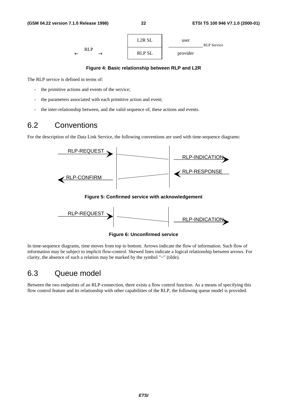

#### **Figure 4: Basic relationship between RLP and L2R**

The RLP service is defined in terms of:

- the primitive actions and events of the service;
- the parameters associated with each primitive action and event;
- the inter-relationship between, and the valid sequence of, these actions and events.

## 6.2 Conventions

For the description of the Data Link Service, the following conventions are used with time-sequence diagrams:





**Figure 6: Unconfirmed service**

In time-sequence diagrams, time moves from top to bottom. Arrows indicate the flow of information. Such flow of information may be subject to implicit flow-control. Skewed lines indicate a logical relationship between arrows. For clarity, the absence of such a relation may be marked by the symbol "~" (tilde).

## 6.3 Queue model

Between the two endpoints of an RLP-connection, there exists a flow control function. As a means of specifying this flow control feature and its relationship with other capabilities of the RLP, the following queue model is provided.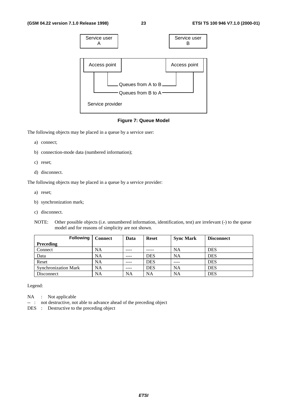

**Figure 7: Queue Model**

The following objects may be placed in a queue by a service user:

- a) connect;
- b) connection-mode data (numbered information);
- c) reset;
- d) disconnect.

The following objects may be placed in a queue by a service provider:

- a) reset;
- b) synchronization mark;
- c) disconnect.
- NOTE: Other possible objects (i.e. unnumbered information, identification, test) are irrelevant (-) to the queue model and for reasons of simplicity are not shown.

| <b>Following</b>            | <b>Connect</b> | Data      | <b>Reset</b> | <b>Sync Mark</b> | <b>Disconnect</b> |
|-----------------------------|----------------|-----------|--------------|------------------|-------------------|
| <b>Preceding</b>            |                |           |              |                  |                   |
| Connect                     | <b>NA</b>      | ----      |              | NA               | <b>DES</b>        |
| Data                        | <b>NA</b>      | $- - - -$ | DES          | NA               | <b>DES</b>        |
| Reset                       | <b>NA</b>      | ----      | DES          |                  | <b>DES</b>        |
| <b>Synchronization Mark</b> | <b>NA</b>      | $- - - -$ | DES          | <b>NA</b>        | <b>DES</b>        |
| Disconnect                  | <b>NA</b>      | NΑ        | NA           | <b>NA</b>        | <b>DES</b>        |

Legend:

- NA : Not applicable
- -- : not destructive, not able to advance ahead of the preceding object
- DES : Destructive to the preceding object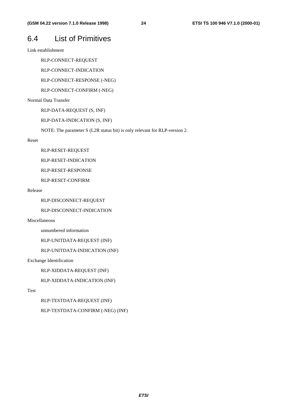## 6.4 List of Primitives

Link establishment

RLP-CONNECT-REQUEST

RLP-CONNECT-INDICATION

RLP-CONNECT-RESPONSE (-NEG)

RLP-CONNECT-CONFIRM (-NEG)

Normal Data Transfer

RLP-DATA-REQUEST (S, INF)

RLP-DATA-INDICATION (S, INF)

NOTE: The parameter S (L2R status bit) is only relevant for RLP-version 2.

#### Reset

RLP-RESET-REQUEST

RLP-RESET-INDICATION

RLP-RESET-RESPONSE

RLP-RESET-CONFIRM

#### Release

RLP-DISCONNECT-REQUEST

RLP-DISCONNECT-INDICATION

Miscellaneous

unnumbered information

RLP-UNITDATA-REQUEST (INF)

RLP-UNITDATA-INDICATION (INF)

Exchange Identification

RLP-XIDDATA-REQUEST (INF)

RLP-XIDDATA-INDICATION (INF)

#### Test

RLP-TESTDATA-REQUEST (INF) RLP-TESTDATA-CONFIRM (-NEG) (INF)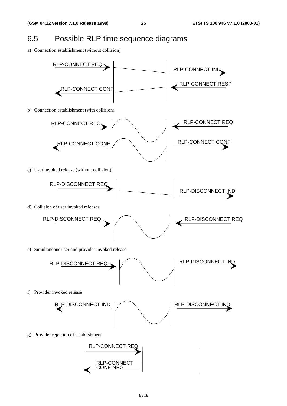## 6.5 Possible RLP time sequence diagrams

a) Connection establishment (without collision)

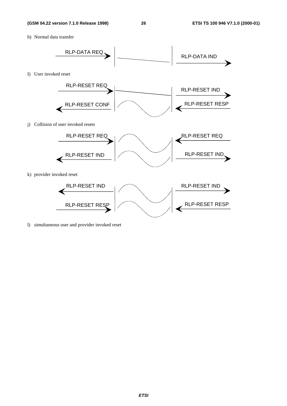h) Normal data transfer



l) simultaneous user and provider invoked reset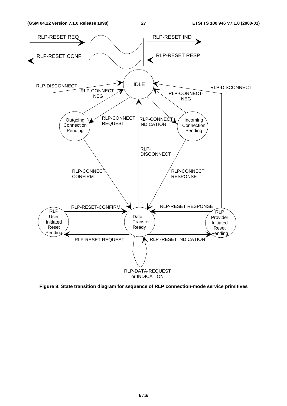

**Figure 8: State transition diagram for sequence of RLP connection-mode service primitives**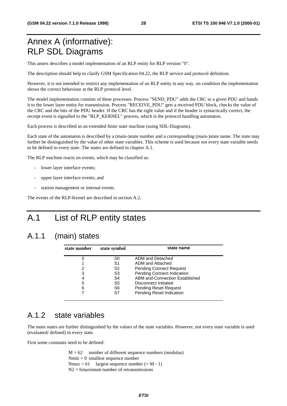## Annex A (informative): RLP SDL Diagrams

This annex describes a model implementation of an RLP entity for RLP version "0".

The description should help to clarify GSM Specification 04.22, the RLP service and protocol definition.

However, it is not intended to restrict any implementation of an RLP entity in any way, on condition the implementation shows the correct behaviour at the RLP protocol level.

The model implementation consists of three processes. Process "SEND\_PDU" adds the CRC to a given PDU and hands it to the lower layer entity for transmission. Process "RECEIVE\_PDU" gets a received PDU block, checks the value of the CRC and the bits of the PDU header. If the CRC has the right value and if the header is syntactically correct, the receipt event is signalled to the "RLP\_KERNEL" process, which is the protocol handling automaton.

Each process is described as an extended finite state machine (using SDL-Diagrams).

Each state of the automaton is described by a (main-)state number and a corresponding (main-)state name. The state may further be distinguished by the value of other state variables. This scheme is used because not every state variable needs to be defined in every state. The states are defined in chapter A.1.

The RLP machine reacts on events, which may be classified as:

- lower layer interface events;
- upper layer interface events; and
- station management or internal events.

The events of the RLP-Kernel are described in section A.2.

## A.1 List of RLP entity states

## A.1.1 (main) states

| state number | state symbol | state name                        |
|--------------|--------------|-----------------------------------|
|              | S0           | ADM and Detached                  |
|              | S1           | ADM and Attached                  |
| 2            | S2           | <b>Pending Connect Request</b>    |
| 3            | S3           | <b>Pending Connect Indication</b> |
| 4            | S4           | ABM and Connection Established    |
| 5            | S5           | Disconnect Initiated              |
| 6            | S6           | <b>Pending Reset Request</b>      |
|              | S7           | Pending Reset Indication          |

### A.1.2 state variables

The main states are further distinguished by the values of the state variables. However, not every state variable is used (evaluated/ defined) in every state.

First some constants need to be defined:

 $M = 62$  number of different sequence numbers (modulus)  $Nmin = 0$  smallest sequence number Nmax = 61 largest sequence number  $(= M - 1)$  $N2 = 6$ maximum number of retransmissions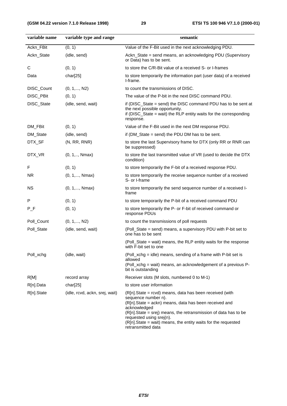| variable name | variable type and range        | semantic                                                                                                                                                                                                                                                                                                                                        |
|---------------|--------------------------------|-------------------------------------------------------------------------------------------------------------------------------------------------------------------------------------------------------------------------------------------------------------------------------------------------------------------------------------------------|
| Ackn_FBit     | (0, 1)                         | Value of the F-Bit used in the next acknowledging PDU.                                                                                                                                                                                                                                                                                          |
| Ackn_State    | (idle, send)                   | Ackn_State = send means, an acknowledging PDU (Supervisory<br>or Data) has to be sent.                                                                                                                                                                                                                                                          |
| C             | (0, 1)                         | to store the C/R-Bit value of a received S- or I-frames                                                                                                                                                                                                                                                                                         |
| Data          | char[25]                       | to store temporarily the information part (user data) of a received<br>I-frame.                                                                                                                                                                                                                                                                 |
| DISC_Count    | $(0, 1, \ldots, N2)$           | to count the transmissions of DISC.                                                                                                                                                                                                                                                                                                             |
| DISC_PBit     | (0, 1)                         | The value of the P-bit in the next DISC command PDU.                                                                                                                                                                                                                                                                                            |
| DISC_State    | (idle, send, wait)             | if (DISC_State = send) the DISC command PDU has to be sent at<br>the next possible opportunity.<br>if (DISC_State = wait) the RLP entity waits for the corresponding<br>response.                                                                                                                                                               |
| DM_FBit       | (0, 1)                         | Value of the F-Bit used in the next DM response PDU.                                                                                                                                                                                                                                                                                            |
| DM_State      | (idle, send)                   | if (DM_State = send) the PDU DM has to be sent.                                                                                                                                                                                                                                                                                                 |
| DTX_SF        | (N, RR, RNR)                   | to store the last Supervisory frame for DTX (only RR or RNR can<br>be suppressed)                                                                                                                                                                                                                                                               |
| DTX_VR        | $(0, 1, \ldots, Nmax)$         | to store the last transmitted value of VR (used to decide the DTX<br>condition)                                                                                                                                                                                                                                                                 |
| F             | (0, 1)                         | to store temporarily the F-bit of a received response PDU.                                                                                                                                                                                                                                                                                      |
| <b>NR</b>     | $(0, 1, \ldots, Nmax)$         | to store temporarily the receive sequence number of a received<br>S- or I-frame                                                                                                                                                                                                                                                                 |
| <b>NS</b>     | $(0, 1, \ldots, Nmax)$         | to store temporarily the send sequence number of a received I-<br>frame                                                                                                                                                                                                                                                                         |
| P             | (0, 1)                         | to store temporarily the P-bit of a received command PDU                                                                                                                                                                                                                                                                                        |
| $P_F$         | (0, 1)                         | to store temporarily the P- or F-bit of received command or<br>response PDUs                                                                                                                                                                                                                                                                    |
| Poll_Count    | $(0, 1, \ldots, N2)$           | to count the transmissions of poll requests                                                                                                                                                                                                                                                                                                     |
| Poll_State    | (idle, send, wait)             | (Poll_State = send) means, a supervisory PDU with P-bit set to<br>one has to be sent                                                                                                                                                                                                                                                            |
|               |                                | (Poll_State = wait) means, the RLP entity waits for the response<br>with F-bit set to one                                                                                                                                                                                                                                                       |
| Poll_xchg     | (idle, wait)                   | (Poll_xchg = idle) means, sending of a frame with P-bit set is<br>allowed<br>(Poll_xchg = wait) means, an acknowledgement of a previous P-<br>bit is outstanding                                                                                                                                                                                |
| R[M]          | record array                   | Receiver slots (M slots, numbered 0 to M-1)                                                                                                                                                                                                                                                                                                     |
| R[n].Data     | char[25]                       | to store user information                                                                                                                                                                                                                                                                                                                       |
| R[n].State    | (idle, rcvd, ackn, srej, wait) | (R[n].State = rcvd) means, data has been received (with<br>sequence number n).<br>(R[n].State = ackn) means, data has been received and<br>acknowledged<br>(R[n].State = srej) means, the retransmission of data has to be<br>requested using srej(n).<br>$(R[n].State = wait)$ means, the entity waits for the requested<br>retransmitted data |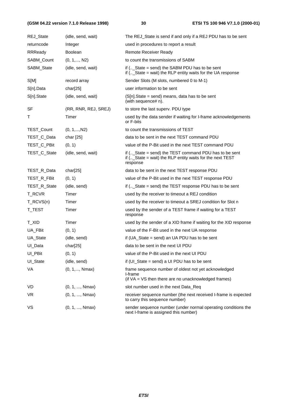### **(GSM 04.22 version 7.1.0 Release 1998) 30 ETSI TS 100 946 V7.1.0 (2000-01)**

| REJ_State      | (idle, send, wait)     | The REJ_State is send if and only if a REJ PDU has to be sent                                                                     |
|----------------|------------------------|-----------------------------------------------------------------------------------------------------------------------------------|
| returncode     | Integer                | used in procedures to report a result                                                                                             |
| <b>RRReady</b> | <b>Boolean</b>         | Remote Receiver Ready                                                                                                             |
| SABM Count     | $(0, 1, \ldots, N2)$   | to count the transmissions of SABM                                                                                                |
| SABM_State     | (idle, send, wait)     | if $($ State = send) the SABM PDU has to be sent<br>if $($ State = wait) the RLP entity waits for the UA response                 |
| S[M]           | record array           | Sender Slots (M slots, numbered 0 to M-1)                                                                                         |
| S[n].Data      | char[25]               | user information to be sent                                                                                                       |
| S[n].State     | (idle, send, wait)     | $(S[n].State = send)$ means, data has to be sent<br>(with sequence# n).                                                           |
| SF             | (RR, RNR, REJ, SREJ)   | to store the last superv. PDU type                                                                                                |
| т              | Timer                  | used by the data sender if waiting for I-frame acknowledgements<br>or F-bits                                                      |
| TEST_Count     | $(0, 1, \ldots, N2)$   | to count the transmissions of TEST                                                                                                |
| TEST_C_Data    | char [25]              | data to be sent in the next TEST command PDU                                                                                      |
| TEST_C_PBit    | (0, 1)                 | value of the P-Bit used in the next TEST command PDU                                                                              |
| TEST_C_State   | (idle, send, wait)     | if (_State = send) the TEST command PDU has to be sent<br>if $($ State = wait) the RLP entity waits for the next TEST<br>response |
| TEST_R_Data    | char[25]               | data to be sent in the next TEST response PDU                                                                                     |
| TEST_R_FBit    | (0, 1)                 | value of the P-Bit used in the next TEST response PDU                                                                             |
| TEST_R_State   | (idle, send)           | if $($ State = send) the TEST response PDU has to be sent                                                                         |
| T_RCVR         | Timer                  | used by the receiver to timeout a REJ condition                                                                                   |
| T_RCVS(n)      | Timer                  | used by the receiver to timeout a SREJ condition for Slot n                                                                       |
| T_TEST         | Timer                  | used by the sender of a TEST frame if waiting for a TEST<br>response                                                              |
| T_XID          | Timer                  | used by the sender of a XID frame if waiting for the XID response                                                                 |
| UA_FBit        | (0, 1)                 | value of the F-Bit used in the next UA response                                                                                   |
| UA_State       | (idle, send)           | if (UA_State = send) an UA PDU has to be sent                                                                                     |
| UI_Data        | char[25]               | data to be sent in the next UI PDU                                                                                                |
| UI_PBit        | (0, 1)                 | value of the P-Bit used in the next UI PDU                                                                                        |
| UI_State       | (idle, send)           | if (UI_State = send) a UI PDU has to be sent                                                                                      |
| VA             | $(0, 1, \ldots, Nmax)$ | frame sequence number of oldest not yet acknowledged<br>I-frame<br>(if VA = VS then there are no unacknowledged frames)           |
| VD.            | (0, 1, , Nmax)         | slot number used in the next Data_Req                                                                                             |
| VR.            | (0, 1, , Nmax)         | receiver sequence number (the next received I-frame is expected<br>to carry this sequence number)                                 |
| VS             | (0, 1, , Nmax)         | sender sequence number (under normal operating conditions the<br>next I-frame is assigned this number)                            |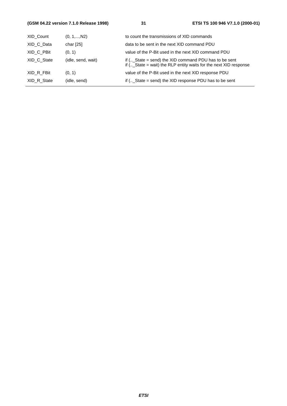### **(GSM 04.22 version 7.1.0 Release 1998) 31 ETSI TS 100 946 V7.1.0 (2000-01)**

| XID Count   | $(0, 1, \ldots, N2)$ | to count the transmissions of XID commands                                                                                        |
|-------------|----------------------|-----------------------------------------------------------------------------------------------------------------------------------|
| XID C Data  | char $[25]$          | data to be sent in the next XID command PDU                                                                                       |
| XID C PBit  | (0, 1)               | value of the P-Bit used in the next XID command PDU                                                                               |
| XID C State | (idle, send, wait)   | if $($ State = send) the XID command PDU has to be sent<br>if $($ _State = wait) the RLP entity waits for the next $XID$ response |
| XID R FBit  | (0, 1)               | value of the P-Bit used in the next XID response PDU                                                                              |
| XID R State | (idle, send)         | if $($ State = send) the XID response PDU has to be sent                                                                          |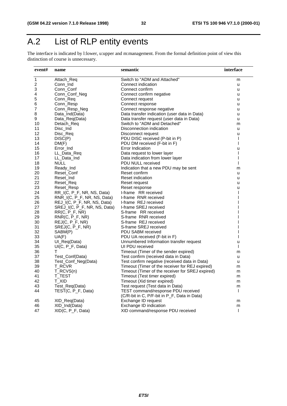## A.2 List of RLP entity events

The interface is indicated by l:lower, u:upper and m:management. From the formal definition point of view this distinction of course is unnecessary.

| event#                  | name                         | semantic                                         | interface      |
|-------------------------|------------------------------|--------------------------------------------------|----------------|
| 1                       | Attach Reg                   | Switch to "ADM and Attached"                     | m              |
| $\overline{\mathbf{c}}$ | Conn_Ind                     | Connect indication                               | u              |
| 3                       | Conn_Conf                    | Connect confirm                                  | u              |
| 4                       | Conn_Conf_Neg                | Connect confirm negative                         | u              |
| 5                       | Conn Req                     | Connect request                                  | u              |
| 6                       | Conn_Resp                    | Connect response                                 | u              |
| 7                       | Conn_Resp_Neg                | Connect response negative                        | u              |
| 8                       | Data_Ind(Data)               | Data transfer indication (user data in Data)     | u              |
| 9                       | Data_Req(Data)               | Data transfer request (user data in Data)        | u              |
| 10                      | Detach_Req                   | Switch to "ADM and Detached"                     | m              |
| 11                      | Disc_Ind                     | Disconnection indication                         | u              |
| 12                      | Disc_Req                     | Disconnect request                               | u              |
| 13                      | DISC(P)                      | PDU DISC received (P-bit in P)                   | $\mathsf{I}$   |
| 14                      | DM(F)                        | PDU DM received (F-bit in F)                     | $\overline{1}$ |
| 15                      | Error_Ind                    | Error Indication                                 | u              |
| 16                      | LL Data Req                  | Data request to lower layer                      | $\overline{1}$ |
| 17                      | LL Data Ind                  | Data indication from lower layer                 | I              |
| 18                      | <b>NULL</b>                  | PDU NULL received                                | $\overline{1}$ |
| 19                      | Ready_Ind                    | Indication that a new PDU may be sent            | m              |
| 20                      | Reset Conf                   | Reset confirm                                    | u              |
| 21                      | Reset_Ind                    | Reset indication                                 | u              |
| 22                      | Reset_Req                    | Reset request                                    | u              |
| 23                      | Reset Resp                   | Reset response                                   | u              |
|                         | RR_I(C, P_F, NR, NS, Data)   | I-frame RR received                              | $\overline{1}$ |
| 24<br>25                |                              | I-frame RNR received                             | L              |
| 26                      | RNR_I(C, P_F, NR, NS, Data)  | I-frame REJ received                             |                |
| 27                      | REJ_I(C, P_F, NR, NS, Data)  | I-frame SREJ received                            |                |
|                         | SREJ_I(C, P_F, NR, NS, Data) |                                                  |                |
| 28                      | $RR(C, P_F, NR)$             | S-frame RR received                              |                |
| 29                      | RNR(C, P_F, NR)              | S-frame RNR received                             |                |
| 30                      | $REJ(C, P_F, NR)$            | S-frame REJ received                             |                |
| 31                      | SREJ(C, P_F, NR)             | S-frame SREJ received                            |                |
| 32                      | SABM(P)                      | PDU SABM received                                |                |
| 33                      | UA(F)                        | PDU UA received (F-bit in F)                     | I              |
| 34                      | UI_Req(Data)                 | Unnumbered Information transfer request          | u              |
| 35                      | UI(C, P_F, Data)             | UI PDU received                                  | $\mathbf{I}$   |
| 36                      | T.                           | Timeout (Timer of the sender expired)            | m              |
| 37                      | Test_Conf(Data)              | Test confirm (received data in Data)             | u              |
| 38                      | Test_Conf_Neg(Data)          | Test confirm negative (received data in Data)    | u              |
| 39                      | T RCVR                       | Timeout (Timer of the receiver for REJ expired)  | m              |
| 40                      | T_RCVS(n)                    | Timeout (Timer of the receiver for SREJ expired) | m              |
| 41                      | T_TEST                       | Timeout (Test timer expired)                     | m              |
| 42                      | T_XID                        | Timeout (Xid timer expired)                      | m              |
| 43                      | Test_Req(Data)               | Test request (Test data in Data)                 | m              |
| 44                      | TEST(C, P_F, Data)           | TEST command/response PDU received               | $\mathbf{I}$   |
|                         |                              | (C/R-bit in C, P/F-bit in P_F, Data in Data)     |                |
| 45                      | XID_Req(Data)                | Exchange ID request                              | m              |
| 46                      | XID_Ind(Data)                | Exchange ID indication                           | m              |
| 47                      | XID(C, P_F, Data)            | XID command/response PDU received                | $\mathbf{I}$   |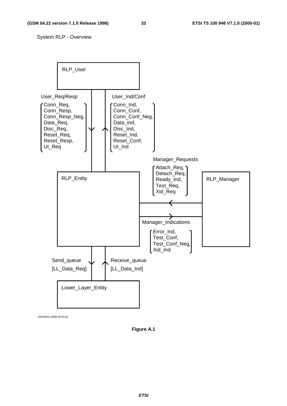System RLP - Overview



0422AF01.DRW 93-03-01

**Figure A.1**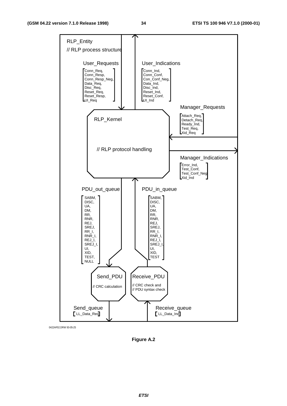

0422AF02.DRW 93-05-25

**Figure A.2**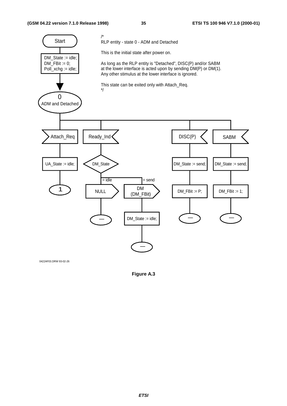

0422AF03.DRW 93-02-26

**Figure A.3**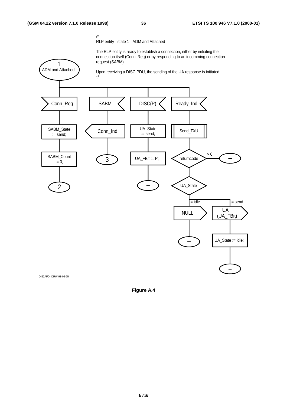RLP entity - state 1 - ADM and Attached

The RLP entity is ready to establish a connection, either by initiating the connection itself (Conn\_Req) or by responding to an incomming connection request (SABM).



0422AF04.DRW 93-02-25

**Figure A.4**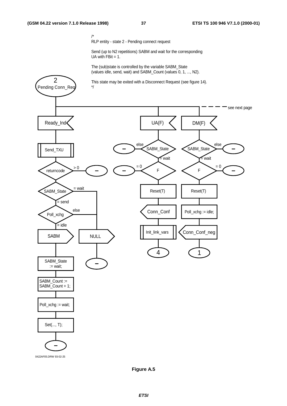2

/\* RLP entity - state 2 - Pending connect request

Send (up to N2 repetitions) SABM and wait for the corresponding UA with  $FBit = 1$ .

The (sub)state is controlled by the variable SABM\_State (values idle, send, wait) and SABM\_Count (values 0, 1, ..., N2).

This state may be exited with a Disconnect Request (see figure 14).



**Figure A.5**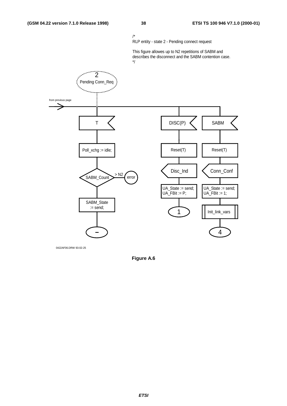/\* RLP entity - state 2 - Pending connect request

This figure allowes up to N2 repetitions of SABM and describes the disconnect and the SABM contention case. \*/



0422AF06.DRW 93-02-25

**Figure A.6**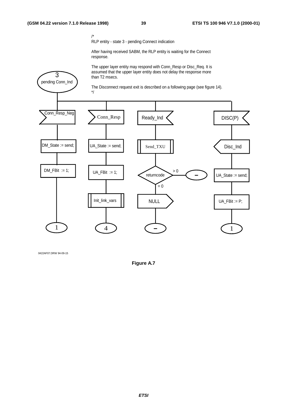pending Conn\_Ind 3

RLP entity - state 3 - pending Connect indication

After having received SABM, the RLP entity is waiting for the Connect response.

The upper layer entity may respond with Conn\_Resp or Disc\_Req. It is assumed that the upper layer entity does not delay the response more than T2 msecs.

The Disconnect request exit is described on a following page (see figure 14).



0422AF07.DRW 94-09-15

**Figure A.7**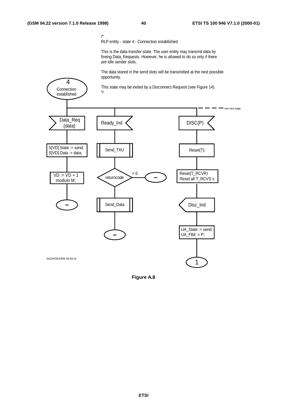4

/\* RLP entity - state 4 - Connection established

This is the data transfer state. The user entity may transmit data by fireing Data\_Requests. However, he is allowed to do so only if there are idle sender slots.

The data stored in the send slots will be transmitted at the next possible opportunity.

This state may be exited by a Disconnect Request (see Figure 14).



**Figure A.8**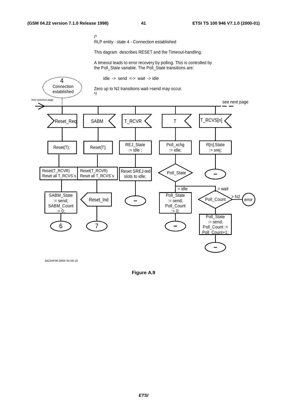0422AF09.DRW 93-09-10

/\*

RLP entity - state 4 - Connection established

This dagram describes RESET and the Timeout-handling.

A timeout leads to error recovery by polling. This is controlled by the Poll\_State variable. The Poll\_State transitions are:



**Figure A.9**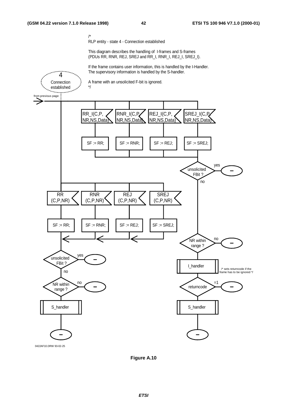/\* RLP entity - state 4 - Connection established

This diagram describes the handling of I-frames and S-frames (PDUs RR, RNR, REJ, SREJ and RR\_I, RNR\_I, REJ\_I, SREJ\_I).

If the frame contains user information, this is handled by the I-Handler. The supervisory information is handled by the S-handler.



**Figure A.10**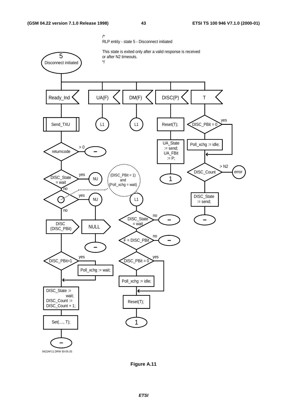

0422AF11.DRW 93-05-25



**ETSI**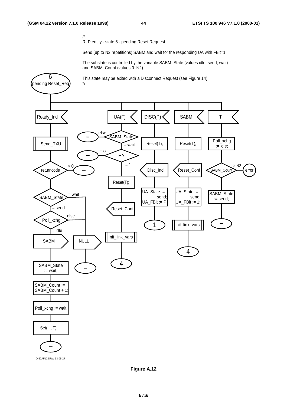RLP entity - state 6 - pending Reset Request

Send (up to N2 repetitions) SABM and wait for the responding UA with FBit=1.

The substate is controlled by the variable SABM\_State (values idle, send, wait) and SABM\_Count (values 0..N2).



0422AF12.DRW 93-05-27

**Figure A.12**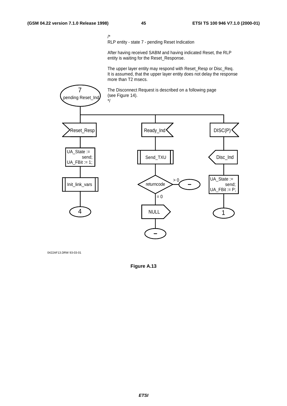RLP entity - state 7 - pending Reset Indication

After having received SABM and having indicated Reset, the RLP entity is waiting for the Reset\_Response.

The upper layer entity may respond with Reset\_Resp or Disc\_Req. It is assumed, that the upper layer entity does not delay the response more than T2 msecs.



0422AF13.DRW 93-03-01

**Figure A.13**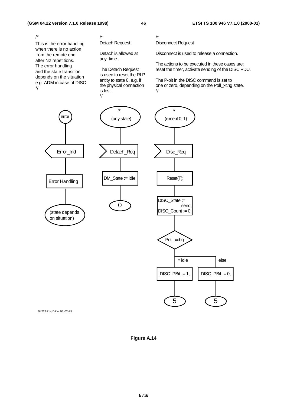This is the error handling when there is no action from the remote end after N2 repetitions. The error handling and the state transition depends on the situation e.g. ADM in case of DISC \*/ /\*

/\* Detach Request

Detach is allowed at any time.

The Detach Request is used to reset the RLP entity to state 0, e.g. if the physical connection is lost. \*/

/\* Disconnect Request

Disconnect is used to release a connection.

The actions to be executed in these cases are: reset the timer, activate sending of the DISC PDU.

The P-bit in the DISC command is set to one or zero, depending on the Poll\_xchg state. \*/







0422AF14.DRW 93-02-25

**Figure A.14**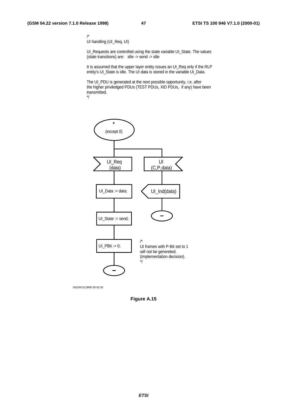/\* UI handling (UI\_Req, UI)

UI\_Requests are controlled using the state variable UI\_State. The values (state transitions) are: idle -> send -> idle

It is assumed that the upper layer entity issues an UI\_Req only if the RLP entity's UI\_State is idle. The UI data is stored in the variable UI\_Data.

The UI\_PDU is generated at the next possible opportunity, i.e. after the higher priviledged PDUs (TEST PDUs, XID PDUs, if any) have been transmitted. \*/



0422AF15.DRW 93-02-26

**Figure A.15**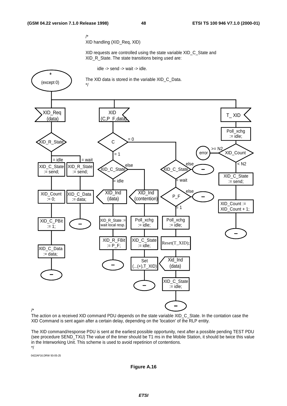/\* XID handling (XID\_Req, XID)

XID requests are controlled using the state variable XID\_C\_State and XID\_R\_State. The state transitions being used are:

idle -> send -> wait -> idle.



/\*

The action on a received XID command PDU depends on the state variable XID\_C\_State. In the contation case the XID Command is sent again after a certain delay, depending on the 'location' of the RLP entity.

The XID command/response PDU is sent at the earliest possible opportunity, next after a possible pending TEST PDU (see procedure SEND\_TXU) The value of the timer should be T1 ms in the Mobile Station, it should be twice this value in the Interworking Unit. This scheme is used to avoid repetinion of contentions. \*/

0422AF16.DRW 93-05-25

#### **Figure A.16**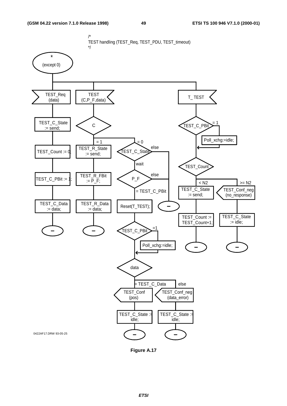

**Figure A.17**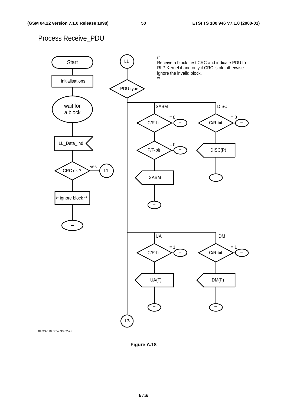## Process Receive\_PDU



0422AF18.DRW 93-02-25

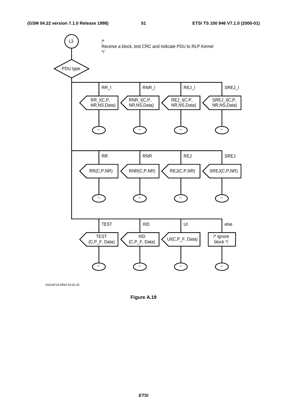

0422AF19.DRW 93-02-25

**Figure A.19**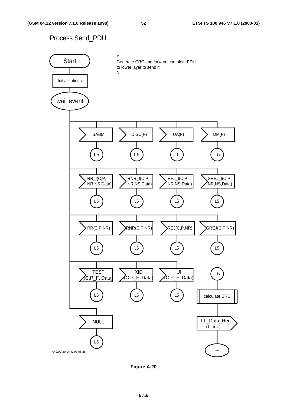## Process Send\_PDU



**Figure A.20**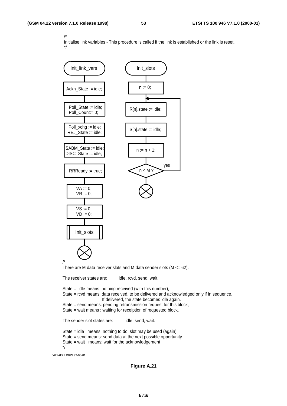Initialise link variables - This procedure is called if the link is established or the link is reset. \*/



State = wait means: wait for the acknowledgement

```
*/
```
0422AF21.DRW 93-03-01

**Figure A.21**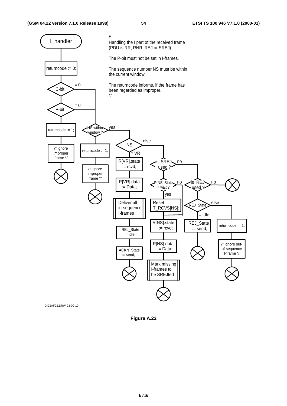

**Figure A.22**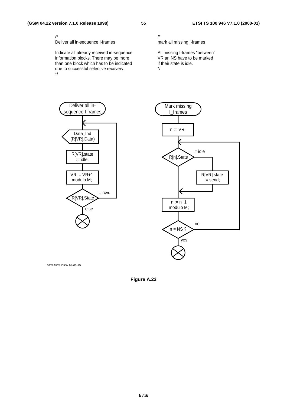/\*

Deliver all in-sequence I-frames

Indicate all already received in-sequence information blocks. There may be more than one block which has to be indicated due to successful selective recovery. \*/

## mark all missing I-frames

All missing I-frames "between" VR an NS have to be marked if their state is idle. \*/



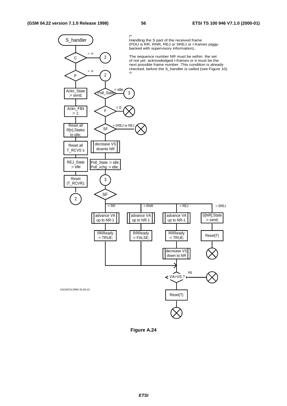

**Figure A.24**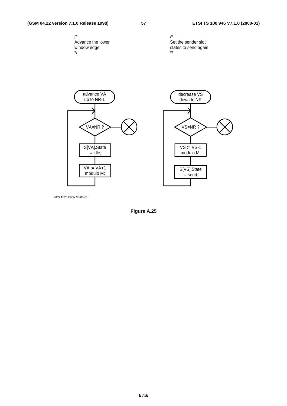#### **(GSM 04.22 version 7.1.0 Release 1998) 57 ETSI TS 100 946 V7.1.0 (2000-01)**







0422AF25.DRW 93-03-01

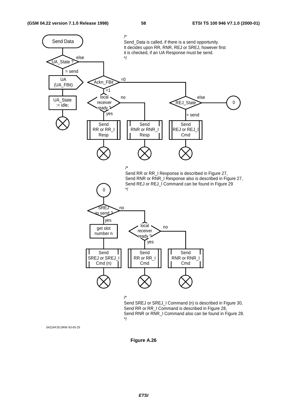

0422AF26.DRW 93-05-25

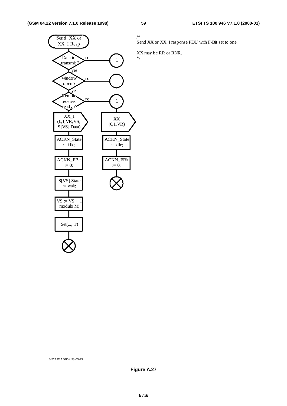

Send XX or XX\_I response PDU with F-Bit set to one.

XX may be RR or RNR.

0422A F27.DRW 93-05-25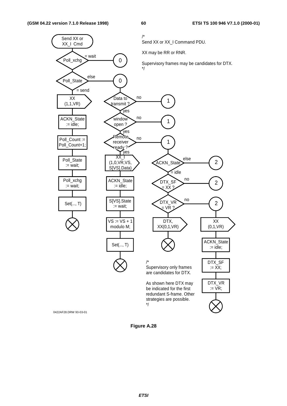

**Figure A.28**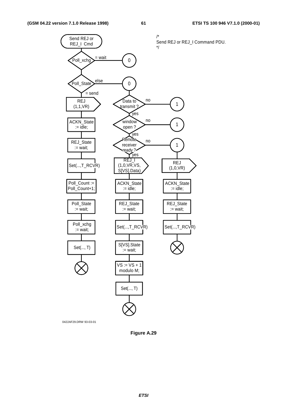

0422AF29.DRW 93-03-01

**Figure A.29**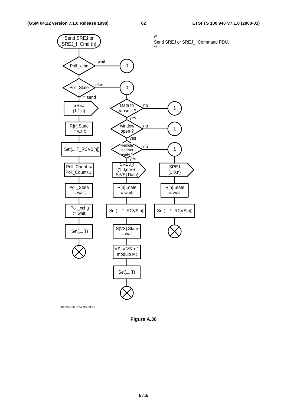

0422AF30.DRW 93-09-10

**Figure A.30**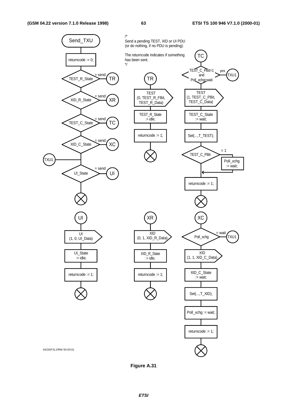

**Figure A.31**

**ETSI**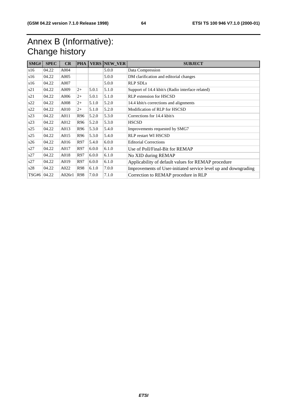## Annex B (Informative): Change history

| SMG#  | <b>SPEC</b> | CR     | <b>PHA</b> | <b>VERS</b> | NEW_VER | <b>SUBJECT</b>                                                  |
|-------|-------------|--------|------------|-------------|---------|-----------------------------------------------------------------|
| s16   | 04.22       | A004   |            |             | 5.0.0   | Data Compression                                                |
| s16   | 04.22       | A005   |            |             | 5.0.0   | DM clarification and editorial changes                          |
| s16   | 04.22       | A007   |            |             | 5.0.0   | <b>RLP SDLs</b>                                                 |
| s21   | 04.22       | A009   | $2+$       | 5.0.1       | 5.1.0   | Support of 14.4 kbit/s (Radio interface related)                |
| s21   | 04.22       | A006   | $2+$       | 5.0.1       | 5.1.0   | <b>RLP</b> extension for HSCSD                                  |
| s22   | 04.22       | A008   | $2+$       | 5.1.0       | 5.2.0   | 14.4 kbit/s corrections and alignments                          |
| s22   | 04.22       | A010   | $2+$       | 5.1.0       | 5.2.0   | Modification of RLP for HSCSD                                   |
| s23   | 04.22       | A011   | R96        | 5.2.0       | 5.3.0   | Corrections for 14.4 kbit/s                                     |
| s23   | 04.22       | A012   | R96        | 5.2.0       | 5.3.0   | <b>HSCSD</b>                                                    |
| s25   | 04.22       | A013   | R96        | 5.3.0       | 5.4.0   | Improvements requested by SMG7                                  |
| s25   | 04.22       | A015   | R96        | 5.3.0       | 5.4.0   | <b>RLP</b> restart WI HSCSD                                     |
| s26   | 04.22       | A016   | R97        | 5.4.0       | 6.0.0   | <b>Editorial Corrections</b>                                    |
| s27   | 04.22       | A017   | R97        | 6.0.0       | 6.1.0   | Use of Poll/Final-Bit for REMAP                                 |
| s27   | 04.22       | A018   | R97        | 6.0.0       | 6.1.0   | No XID during REMAP                                             |
| s27   | 04.22       | A019   | R97        | 6.0.0       | 6.1.0   | Applicability of default values for REMAP procedure             |
| s28   | 04.22       | A022   | R98        | 6.1.0       | 7.0.0   | Improvements of User-initiated service level up and downgrading |
| TSG#6 | 04.22       | A026r1 | <b>R98</b> | 7.0.0       | 7.1.0   | Correction to REMAP procedure in RLP                            |